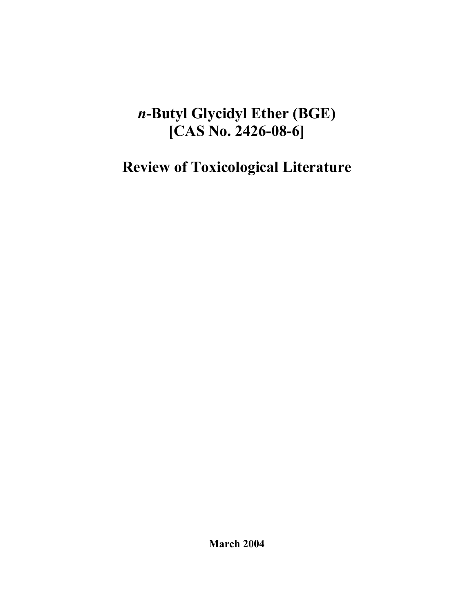# *n***-Butyl Glycidyl Ether (BGE) [CAS No. 2426-08-6]**

**Review of Toxicological Literature** 

**March 2004**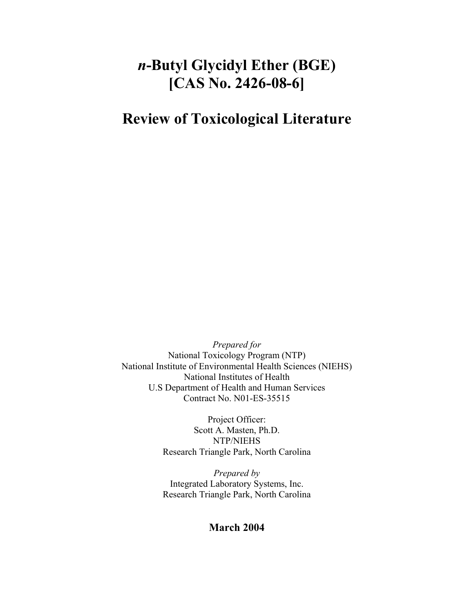# *n***-Butyl Glycidyl Ether (BGE) [CAS No. 2426-08-6]**

## **Review of Toxicological Literature**

*Prepared for*  National Toxicology Program (NTP) National Institute of Environmental Health Sciences (NIEHS) National Institutes of Health U.S Department of Health and Human Services Contract No. N01-ES-35515

> Project Officer: Scott A. Masten, Ph.D. NTP/NIEHS Research Triangle Park, North Carolina

> *Prepared by*  Integrated Laboratory Systems, Inc. Research Triangle Park, North Carolina

## **March 2004**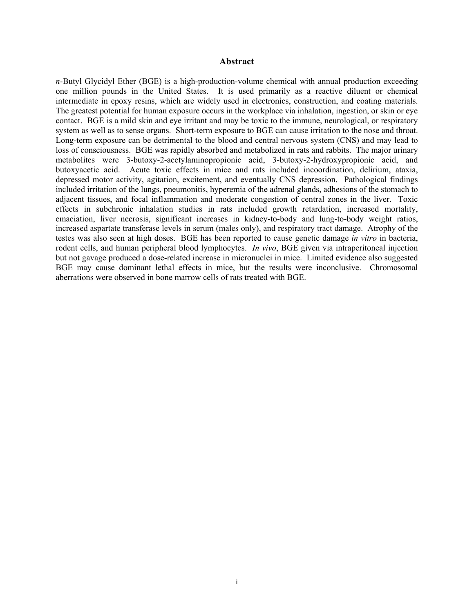#### **Abstract**

<span id="page-2-0"></span>*n*-Butyl Glycidyl Ether (BGE) is a high-production-volume chemical with annual production exceeding one million pounds in the United States. It is used primarily as a reactive diluent or chemical intermediate in epoxy resins, which are widely used in electronics, construction, and coating materials. The greatest potential for human exposure occurs in the workplace via inhalation, ingestion, or skin or eye contact. BGE is a mild skin and eye irritant and may be toxic to the immune, neurological, or respiratory system as well as to sense organs. Short-term exposure to BGE can cause irritation to the nose and throat. Long-term exposure can be detrimental to the blood and central nervous system (CNS) and may lead to loss of consciousness. BGE was rapidly absorbed and metabolized in rats and rabbits. The major urinary metabolites were 3-butoxy-2-acetylaminopropionic acid, 3-butoxy-2-hydroxypropionic acid, and butoxyacetic acid. Acute toxic effects in mice and rats included incoordination, delirium, ataxia, depressed motor activity, agitation, excitement, and eventually CNS depression. Pathological findings included irritation of the lungs, pneumonitis, hyperemia of the adrenal glands, adhesions of the stomach to adjacent tissues, and focal inflammation and moderate congestion of central zones in the liver. Toxic effects in subchronic inhalation studies in rats included growth retardation, increased mortality, emaciation, liver necrosis, significant increases in kidney-to-body and lung-to-body weight ratios, increased aspartate transferase levels in serum (males only), and respiratory tract damage. Atrophy of the testes was also seen at high doses. BGE has been reported to cause genetic damage *in vitro* in bacteria, rodent cells, and human peripheral blood lymphocytes. *In vivo*, BGE given via intraperitoneal injection but not gavage produced a dose-related increase in micronuclei in mice. Limited evidence also suggested BGE may cause dominant lethal effects in mice, but the results were inconclusive. Chromosomal aberrations were observed in bone marrow cells of rats treated with BGE.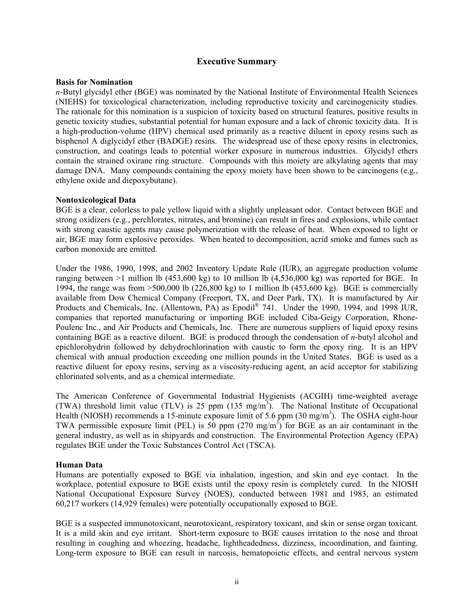#### **Executive Summary**

#### <span id="page-3-0"></span>**Basis for Nomination**

*n*-Butyl glycidyl ether (BGE) was nominated by the National Institute of Environmental Health Sciences (NIEHS) for toxicological characterization, including reproductive toxicity and carcinogenicity studies. The rationale for this nomination is a suspicion of toxicity based on structural features, positive results in genetic toxicity studies, substantial potential for human exposure and a lack of chronic toxicity data. It is a high-production-volume (HPV) chemical used primarily as a reactive diluent in epoxy resins such as bisphenol A diglycidyl ether (BADGE) resins. The widespread use of these epoxy resins in electronics, construction, and coatings leads to potential worker exposure in numerous industries. Glycidyl ethers contain the strained oxirane ring structure. Compounds with this moiety are alkylating agents that may damage DNA. Many compounds containing the epoxy moiety have been shown to be carcinogens (e.g., ethylene oxide and diepoxybutane).

#### **Nontoxicological Data**

BGE is a clear, colorless to pale yellow liquid with a slightly unpleasant odor. Contact between BGE and strong oxidizers (e.g., perchlorates, nitrates, and bromine) can result in fires and explosions, while contact with strong caustic agents may cause polymerization with the release of heat. When exposed to light or air, BGE may form explosive peroxides. When heated to decomposition, acrid smoke and fumes such as carbon monoxide are emitted.

Under the 1986, 1990, 1998, and 2002 Inventory Update Rule (IUR), an aggregate production volume ranging between  $>1$  million lb (453,600 kg) to 10 million lb (4,536,000 kg) was reported for BGE. In 1994, the range was from  $>500,000$  lb (226,800 kg) to 1 million lb (453,600 kg). BGE is commercially available from Dow Chemical Company (Freeport, TX, and Deer Park, TX). It is manufactured by Air Products and Chemicals, Inc. (Allentown, PA) as Epodil<sup>®</sup> 741. Under the 1990, 1994, and 1998 IUR, companies that reported manufacturing or importing BGE included Ciba-Geigy Corporation, Rhone-Poulenc Inc., and Air Products and Chemicals, Inc. There are numerous suppliers of liquid epoxy resins containing BGE as a reactive diluent. BGE is produced through the condensation of *n*-butyl alcohol and epichlorohydrin followed by dehydrochlorination with caustic to form the epoxy ring. It is an HPV chemical with annual production exceeding one million pounds in the United States. BGE is used as a reactive diluent for epoxy resins, serving as a viscosity-reducing agent, an acid acceptor for stabilizing chlorinated solvents, and as a chemical intermediate.

The American Conference of Governmental Industrial Hygienists (ACGIH) time-weighted average (TWA) threshold limit value (TLV) is 25 ppm  $(135 \text{ mg/m}^3)$ . The National Institute of Occupational Health (NIOSH) recommends a 15-minute exposure limit of 5.6 ppm (30 mg/m<sup>3</sup>). The OSHA eight-hour TWA permissible exposure limit (PEL) is  $50$  ppm  $(270 \text{ mg/m}^3)$  for BGE as an air contaminant in the general industry, as well as in shipyards and construction. The Environmental Protection Agency (EPA) regulates BGE under the Toxic Substances Control Act (TSCA).

#### **Human Data**

Humans are potentially exposed to BGE via inhalation, ingestion, and skin and eye contact. In the workplace, potential exposure to BGE exists until the epoxy resin is completely cured. In the NIOSH National Occupational Exposure Survey (NOES), conducted between 1981 and 1983, an estimated 60,217 workers (14,929 females) were potentially occupationally exposed to BGE.

BGE is a suspected immunotoxicant, neurotoxicant, respiratory toxicant, and skin or sense organ toxicant. It is a mild skin and eye irritant. Short-term exposure to BGE causes irritation to the nose and throat resulting in coughing and wheezing, headache, lightheadedness, dizziness, incoordination, and fainting. Long-term exposure to BGE can result in narcosis, hematopoietic effects, and central nervous system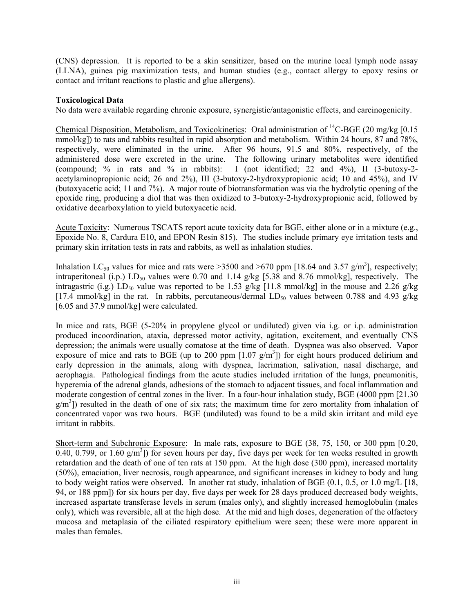(CNS) depression. It is reported to be a skin sensitizer, based on the murine local lymph node assay (LLNA), guinea pig maximization tests, and human studies (e.g., contact allergy to epoxy resins or contact and irritant reactions to plastic and glue allergens).

#### **Toxicological Data**

No data were available regarding chronic exposure, synergistic/antagonistic effects, and carcinogenicity.

Chemical Disposition, Metabolism, and Toxicokinetics: Oral administration of  ${}^{14}$ C-BGE (20 mg/kg [0.15 mmol/kg]) to rats and rabbits resulted in rapid absorption and metabolism. Within 24 hours, 87 and 78%, respectively, were eliminated in the urine. After 96 hours, 91.5 and 80%, respectively, of the administered dose were excreted in the urine. The following urinary metabolites were identified (compound; % in rats and % in rabbits): I (not identified; 22 and 4%), II (3-butoxy-2 acetylaminopropionic acid; 26 and 2%), III (3-butoxy-2-hydroxypropionic acid; 10 and 45%), and IV (butoxyacetic acid; 11 and 7%). A major route of biotransformation was via the hydrolytic opening of the epoxide ring, producing a diol that was then oxidized to 3-butoxy-2-hydroxypropionic acid, followed by oxidative decarboxylation to yield butoxyacetic acid.

Acute Toxicity: Numerous TSCATS report acute toxicity data for BGE, either alone or in a mixture (e.g., Epoxide No. 8, Cardura E10, and EPON Resin 815). The studies include primary eye irritation tests and primary skin irritation tests in rats and rabbits, as well as inhalation studies.

Inhalation LC<sub>50</sub> values for mice and rats were >3500 and >670 ppm [18.64 and 3.57  $g/m<sup>3</sup>$ ], respectively; intraperitoneal (i.p.)  $LD_{50}$  values were 0.70 and 1.14 g/kg [5.38 and 8.76 mmol/kg], respectively. The intragastric (i.g.)  $LD_{50}$  value was reported to be 1.53 g/kg [11.8 mmol/kg] in the mouse and 2.26 g/kg [17.4 mmol/kg] in the rat. In rabbits, percutaneous/dermal LD<sub>50</sub> values between 0.788 and 4.93 g/kg [6.05 and 37.9 mmol/kg] were calculated.

In mice and rats, BGE (5-20% in propylene glycol or undiluted) given via i.g. or i.p. administration produced incoordination, ataxia, depressed motor activity, agitation, excitement, and eventually CNS depression; the animals were usually comatose at the time of death. Dyspnea was also observed. Vapor exposure of mice and rats to BGE (up to 200 ppm  $[1.07 \text{ g/m}^3]$ ) for eight hours produced delirium and early depression in the animals, along with dyspnea, lacrimation, salivation, nasal discharge, and aerophagia. Pathological findings from the acute studies included irritation of the lungs, pneumonitis, hyperemia of the adrenal glands, adhesions of the stomach to adjacent tissues, and focal inflammation and moderate congestion of central zones in the liver. In a four-hour inhalation study, BGE (4000 ppm [21.30  $g/m<sup>3</sup>$ ) resulted in the death of one of six rats; the maximum time for zero mortality from inhalation of concentrated vapor was two hours. BGE (undiluted) was found to be a mild skin irritant and mild eye irritant in rabbits.

Short-term and Subchronic Exposure: In male rats, exposure to BGE (38, 75, 150, or 300 ppm [0.20, 0.40, 0.799, or 1.60  $g/m<sup>3</sup>$ ]) for seven hours per day, five days per week for ten weeks resulted in growth retardation and the death of one of ten rats at 150 ppm. At the high dose (300 ppm), increased mortality (50%), emaciation, liver necrosis, rough appearance, and significant increases in kidney to body and lung to body weight ratios were observed. In another rat study, inhalation of BGE (0.1, 0.5, or 1.0 mg/L [18, 94, or 188 ppm]) for six hours per day, five days per week for 28 days produced decreased body weights, increased aspartate transferase levels in serum (males only), and slightly increased hemoglobulin (males only), which was reversible, all at the high dose. At the mid and high doses, degeneration of the olfactory mucosa and metaplasia of the ciliated respiratory epithelium were seen; these were more apparent in males than females.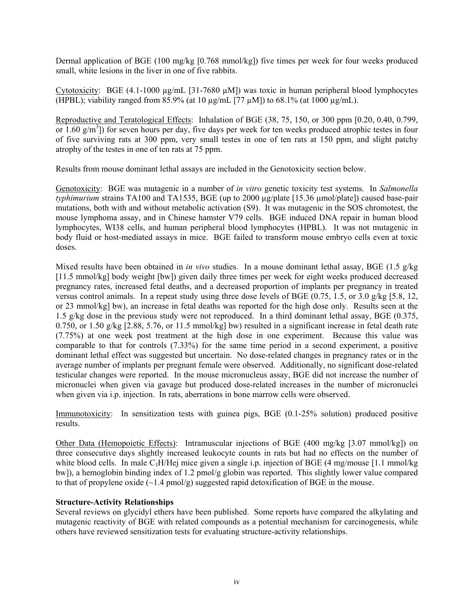Dermal application of BGE (100 mg/kg [0.768 mmol/kg]) five times per week for four weeks produced small, white lesions in the liver in one of five rabbits.

Cytotoxicity: BGE  $(4.1\n-1000 \mu g/mL$  [31-7680  $\mu M$ ]) was toxic in human peripheral blood lymphocytes (HPBL); viability ranged from  $85.9\%$  (at 10  $\mu$ g/mL [77  $\mu$ M]) to 68.1% (at 1000  $\mu$ g/mL).

Reproductive and Teratological Effects: Inhalation of BGE (38, 75, 150, or 300 ppm [0.20, 0.40, 0.799, or  $1.60 \text{ g/m}^3$ ) for seven hours per day, five days per week for ten weeks produced atrophic testes in four of five surviving rats at 300 ppm, very small testes in one of ten rats at 150 ppm, and slight patchy atrophy of the testes in one of ten rats at 75 ppm.

Results from mouse dominant lethal assays are included in the Genotoxicity section below.

Genotoxicity: BGE was mutagenic in a number of *in vitro* genetic toxicity test systems. In *Salmonella typhimurium* strains TA100 and TA1535, BGE (up to 2000 ug/plate [15.36 µmol/plate]) caused base-pair mutations, both with and without metabolic activation (S9). It was mutagenic in the SOS chromotest, the mouse lymphoma assay, and in Chinese hamster V79 cells. BGE induced DNA repair in human blood lymphocytes, WI38 cells, and human peripheral blood lymphocytes (HPBL). It was not mutagenic in body fluid or host-mediated assays in mice. BGE failed to transform mouse embryo cells even at toxic doses.

Mixed results have been obtained in *in vivo* studies. In a mouse dominant lethal assay, BGE (1.5 g/kg [11.5 mmol/kg] body weight [bw]) given daily three times per week for eight weeks produced decreased pregnancy rates, increased fetal deaths, and a decreased proportion of implants per pregnancy in treated versus control animals. In a repeat study using three dose levels of BGE (0.75, 1.5, or 3.0 g/kg [5.8, 12, or 23 mmol/kg] bw), an increase in fetal deaths was reported for the high dose only. Results seen at the 1.5 g/kg dose in the previous study were not reproduced. In a third dominant lethal assay, BGE (0.375, 0.750, or 1.50 g/kg  $[2.88, 5.76,$  or 11.5 mmol/kg] bw) resulted in a significant increase in fetal death rate (7.75%) at one week post treatment at the high dose in one experiment. Because this value was comparable to that for controls (7.33%) for the same time period in a second experiment, a positive dominant lethal effect was suggested but uncertain. No dose-related changes in pregnancy rates or in the average number of implants per pregnant female were observed. Additionally, no significant dose-related testicular changes were reported. In the mouse micronucleus assay, BGE did not increase the number of micronuclei when given via gavage but produced dose-related increases in the number of micronuclei when given via i.p. injection. In rats, aberrations in bone marrow cells were observed.

Immunotoxicity: In sensitization tests with guinea pigs, BGE (0.1-25% solution) produced positive results.

Other Data (Hemopoietic Effects): Intramuscular injections of BGE (400 mg/kg [3.07 mmol/kg]) on three consecutive days slightly increased leukocyte counts in rats but had no effects on the number of white blood cells. In male  $C_3H/Hej$  mice given a single i.p. injection of BGE (4 mg/mouse [1.1 mmol/kg]) bw]), a hemoglobin binding index of 1.2 pmol/g globin was reported. This slightly lower value compared to that of propylene oxide  $(\sim 1.4 \text{ pmol/g})$  suggested rapid detoxification of BGE in the mouse.

#### **Structure-Activity Relationships**

Several reviews on glycidyl ethers have been published. Some reports have compared the alkylating and mutagenic reactivity of BGE with related compounds as a potential mechanism for carcinogenesis, while others have reviewed sensitization tests for evaluating structure-activity relationships.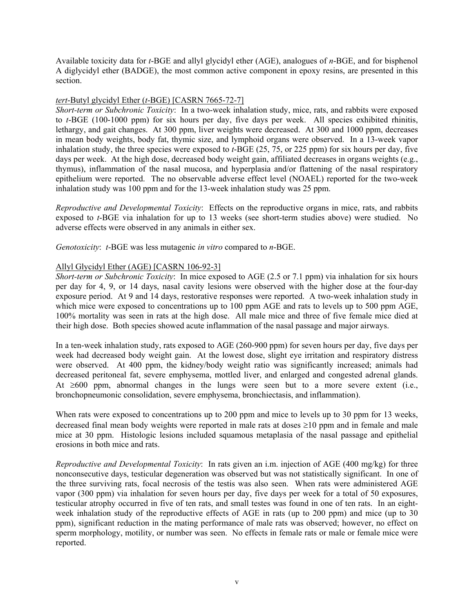Available toxicity data for *t*-BGE and allyl glycidyl ether (AGE), analogues of *n*-BGE, and for bisphenol A diglycidyl ether (BADGE), the most common active component in epoxy resins, are presented in this section.

#### *tert*-Butyl glycidyl Ether (*t*-BGE) [CASRN 7665-72-7]

*Short-term or Subchronic Toxicity*: In a two-week inhalation study, mice, rats, and rabbits were exposed to *t*-BGE (100-1000 ppm) for six hours per day, five days per week. All species exhibited rhinitis, lethargy, and gait changes. At 300 ppm, liver weights were decreased. At 300 and 1000 ppm, decreases in mean body weights, body fat, thymic size, and lymphoid organs were observed. In a 13-week vapor inhalation study, the three species were exposed to *t*-BGE (25, 75, or 225 ppm) for six hours per day, five days per week. At the high dose, decreased body weight gain, affiliated decreases in organs weights (e.g., thymus), inflammation of the nasal mucosa, and hyperplasia and/or flattening of the nasal respiratory epithelium were reported. The no observable adverse effect level (NOAEL) reported for the two-week inhalation study was 100 ppm and for the 13-week inhalation study was 25 ppm.

*Reproductive and Developmental Toxicity*: Effects on the reproductive organs in mice, rats, and rabbits exposed to *t*-BGE via inhalation for up to 13 weeks (see short-term studies above) were studied. No adverse effects were observed in any animals in either sex.

*Genotoxicity*: *t*-BGE was less mutagenic *in vitro* compared to *n*-BGE.

#### Allyl Glycidyl Ether (AGE) [CASRN 106-92-3]

*Short-term or Subchronic Toxicity*: In mice exposed to AGE (2.5 or 7.1 ppm) via inhalation for six hours per day for 4, 9, or 14 days, nasal cavity lesions were observed with the higher dose at the four-day exposure period. At 9 and 14 days, restorative responses were reported. A two-week inhalation study in which mice were exposed to concentrations up to 100 ppm AGE and rats to levels up to 500 ppm AGE, 100% mortality was seen in rats at the high dose. All male mice and three of five female mice died at their high dose. Both species showed acute inflammation of the nasal passage and major airways.

In a ten-week inhalation study, rats exposed to AGE (260-900 ppm) for seven hours per day, five days per week had decreased body weight gain. At the lowest dose, slight eye irritation and respiratory distress were observed. At 400 ppm, the kidney/body weight ratio was significantly increased; animals had decreased peritoneal fat, severe emphysema, mottled liver, and enlarged and congested adrenal glands. At  $\geq 600$  ppm, abnormal changes in the lungs were seen but to a more severe extent (i.e., bronchopneumonic consolidation, severe emphysema, bronchiectasis, and inflammation).

When rats were exposed to concentrations up to 200 ppm and mice to levels up to 30 ppm for 13 weeks, decreased final mean body weights were reported in male rats at doses  $\geq 10$  ppm and in female and male mice at 30 ppm. Histologic lesions included squamous metaplasia of the nasal passage and epithelial erosions in both mice and rats.

*Reproductive and Developmental Toxicity*: In rats given an i.m. injection of AGE (400 mg/kg) for three nonconsecutive days, testicular degeneration was observed but was not statistically significant. In one of the three surviving rats, focal necrosis of the testis was also seen. When rats were administered AGE vapor (300 ppm) via inhalation for seven hours per day, five days per week for a total of 50 exposures, testicular atrophy occurred in five of ten rats, and small testes was found in one of ten rats. In an eightweek inhalation study of the reproductive effects of AGE in rats (up to 200 ppm) and mice (up to 30 ppm), significant reduction in the mating performance of male rats was observed; however, no effect on sperm morphology, motility, or number was seen. No effects in female rats or male or female mice were reported.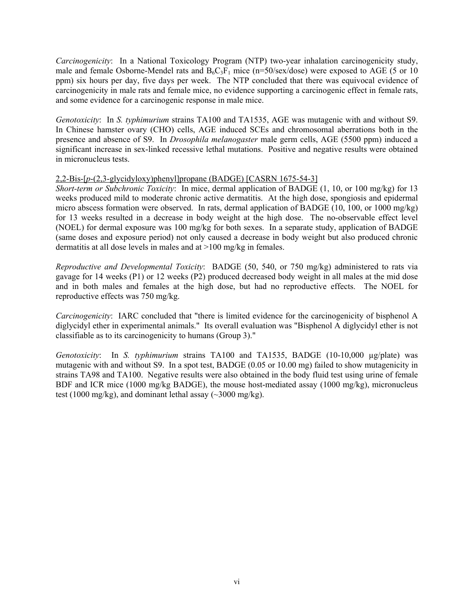*Carcinogenicity*: In a National Toxicology Program (NTP) two-year inhalation carcinogenicity study, male and female Osborne-Mendel rats and  $B_6C_3F_1$  mice (n=50/sex/dose) were exposed to AGE (5 or 10 ppm) six hours per day, five days per week. The NTP concluded that there was equivocal evidence of carcinogenicity in male rats and female mice, no evidence supporting a carcinogenic effect in female rats, and some evidence for a carcinogenic response in male mice.

*Genotoxicity*: In *S. typhimurium* strains TA100 and TA1535, AGE was mutagenic with and without S9. In Chinese hamster ovary (CHO) cells, AGE induced SCEs and chromosomal aberrations both in the presence and absence of S9. In *Drosophila melanogaster* male germ cells, AGE (5500 ppm) induced a significant increase in sex-linked recessive lethal mutations. Positive and negative results were obtained in micronucleus tests.

#### 2,2-Bis-[*p*-(2,3-glycidyloxy)phenyl]propane (BADGE) [CASRN 1675-54-3]

*Short-term or Subchronic Toxicity*: In mice, dermal application of BADGE (1, 10, or 100 mg/kg) for 13 weeks produced mild to moderate chronic active dermatitis. At the high dose, spongiosis and epidermal micro abscess formation were observed. In rats, dermal application of BADGE (10, 100, or 1000 mg/kg) for 13 weeks resulted in a decrease in body weight at the high dose. The no-observable effect level (NOEL) for dermal exposure was 100 mg/kg for both sexes. In a separate study, application of BADGE (same doses and exposure period) not only caused a decrease in body weight but also produced chronic dermatitis at all dose levels in males and at >100 mg/kg in females.

*Reproductive and Developmental Toxicity*: BADGE (50, 540, or 750 mg/kg) administered to rats via gavage for 14 weeks (P1) or 12 weeks (P2) produced decreased body weight in all males at the mid dose and in both males and females at the high dose, but had no reproductive effects. The NOEL for reproductive effects was 750 mg/kg.

*Carcinogenicity*: IARC concluded that "there is limited evidence for the carcinogenicity of bisphenol A diglycidyl ether in experimental animals." Its overall evaluation was "Bisphenol A diglycidyl ether is not classifiable as to its carcinogenicity to humans (Group 3)."

*Genotoxicity*: In *S. typhimurium* strains TA100 and TA1535, BADGE (10-10,000 µg/plate) was mutagenic with and without S9. In a spot test, BADGE (0.05 or 10.00 mg) failed to show mutagenicity in strains TA98 and TA100. Negative results were also obtained in the body fluid test using urine of female BDF and ICR mice (1000 mg/kg BADGE), the mouse host-mediated assay (1000 mg/kg), micronucleus test (1000 mg/kg), and dominant lethal assay  $(\sim 3000 \text{ mg/kg})$ .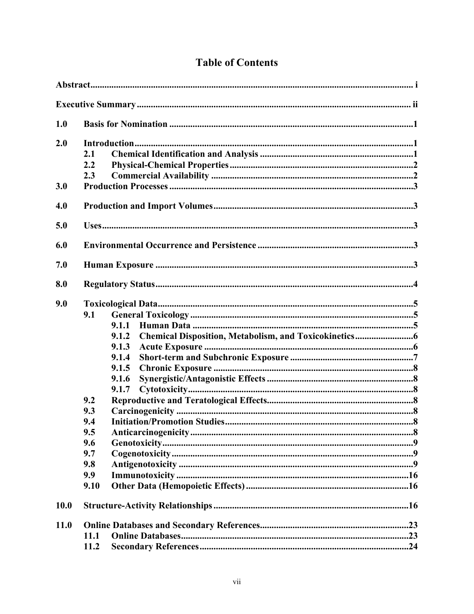| 1.0         |                                                                                                                                    |  |
|-------------|------------------------------------------------------------------------------------------------------------------------------------|--|
| 2.0         | 2.1<br>2.2<br>2.3                                                                                                                  |  |
| 3.0         |                                                                                                                                    |  |
| 4.0         |                                                                                                                                    |  |
| 5.0         |                                                                                                                                    |  |
| 6.0         |                                                                                                                                    |  |
| 7.0         |                                                                                                                                    |  |
| 8.0         |                                                                                                                                    |  |
| 9.0         | 9.1<br>9.1.1<br>9.1.2<br>9.1.3<br>9.1.4<br>9.1.5<br>9.1.6<br>9.1.7<br>9.2<br>9.3<br>9.4<br>9.5<br>9.6<br>9.7<br>9.8<br>9.9<br>9.10 |  |
| <b>10.0</b> |                                                                                                                                    |  |
| <b>11.0</b> | <b>11.1</b><br>11.2                                                                                                                |  |

## **Table of Contents**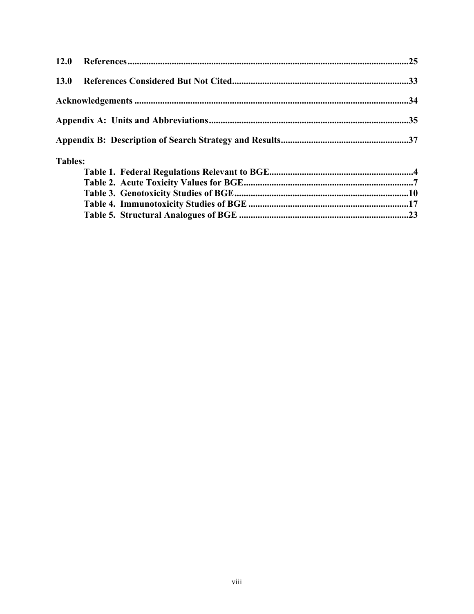| 13.0           |  |
|----------------|--|
|                |  |
|                |  |
|                |  |
| <b>Tables:</b> |  |
|                |  |
|                |  |
|                |  |
|                |  |
|                |  |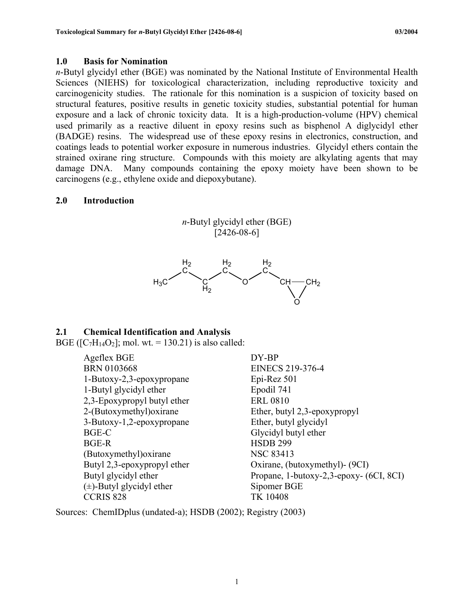## <span id="page-10-0"></span>**1.0 Basis for Nomination**

*n*-Butyl glycidyl ether (BGE) was nominated by the National Institute of Environmental Health Sciences (NIEHS) for toxicological characterization, including reproductive toxicity and carcinogenicity studies. The rationale for this nomination is a suspicion of toxicity based on structural features, positive results in genetic toxicity studies, substantial potential for human exposure and a lack of chronic toxicity data. It is a high-production-volume (HPV) chemical used primarily as a reactive diluent in epoxy resins such as bisphenol A diglycidyl ether (BADGE) resins. The widespread use of these epoxy resins in electronics, construction, and coatings leads to potential worker exposure in numerous industries. Glycidyl ethers contain the strained oxirane ring structure. Compounds with this moiety are alkylating agents that may damage DNA. Many compounds containing the epoxy moiety have been shown to be carcinogens (e.g., ethylene oxide and diepoxybutane).

## **2.0 Introduction**





## **2.1 Chemical Identification and Analysis**

BGE ( $[C_7H_{14}O_2]$ ; mol. wt. = 130.21) is also called:

Ageflex BGE DY-BP BRN 0103668 EINECS 219-376-4 1-Butoxy-2,3-epoxypropane Epi-Rez 501 1-Butyl glycidyl ether Epodil 741 2,3-Epoxypropyl butyl ether ERL 0810 2-(Butoxymethyl)oxirane Ether, butyl 2,3-epoxypropyl 3-Butoxy-1,2-epoxypropane Ether, butyl glycidyl BGE-C Glycidyl butyl ether BGE-R HSDB 299 (Butoxymethyl)oxirane NSC 83413  $(\pm)$ -Butyl glycidyl ether Sipomer BGE CCRIS 828 TK 10408

Butyl 2,3-epoxypropyl ether Oxirane, (butoxymethyl)- (9CI) Butyl glycidyl ether Propane, 1-butoxy-2,3-epoxy- (6CI, 8CI)

Sources: ChemIDplus (undated-a); HSDB (2002); Registry (2003)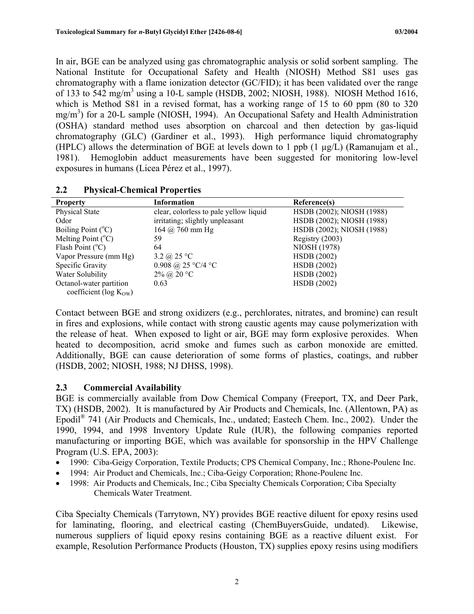<span id="page-11-0"></span>In air, BGE can be analyzed using gas chromatographic analysis or solid sorbent sampling. The National Institute for Occupational Safety and Health (NIOSH) Method S81 uses gas chromatography with a flame ionization detector (GC/FID); it has been validated over the range of 133 to 542 mg/m<sup>3</sup> using a 10-L sample (HSDB, 2002; NIOSH, 1988). NIOSH Method 1616, which is Method S81 in a revised format, has a working range of 15 to 60 ppm (80 to 320) mg/m<sup>3</sup>) for a 20-L sample (NIOSH, 1994). An Occupational Safety and Health Administration (OSHA) standard method uses absorption on charcoal and then detection by gas-liquid chromatography (GLC) (Gardiner et al., 1993). High performance liquid chromatography (HPLC) allows the determination of BGE at levels down to 1 ppb (1 µg/L) (Ramanujam et al., 1981). Hemoglobin adduct measurements have been suggested for monitoring low-level exposures in humans (Licea Pérez et al., 1997).

| <b>Property</b>              | <b>Information</b>                     | Reference(s)              |
|------------------------------|----------------------------------------|---------------------------|
| Physical State               | clear, colorless to pale yellow liquid | HSDB (2002); NIOSH (1988) |
| Odor                         | irritating; slightly unpleasant        | HSDB (2002); NIOSH (1988) |
| Boiling Point $(^{\circ}C)$  | $164 \; (\partial)$ 760 mm Hg          | HSDB (2002); NIOSH (1988) |
| Melting Point $(^{\circ}C)$  | 59                                     | Registry (2003)           |
| Flash Point $(^{\circ}C)$    | 64                                     | NIOSH (1978)              |
| Vapor Pressure (mm Hg)       | 3.2 $\omega$ 25 °C                     | <b>HSDB</b> (2002)        |
| Specific Gravity             | 0.908 @ 25 °C/4 °C                     | <b>HSDB</b> (2002)        |
| Water Solubility             | $2\%$ @ $20 °C$                        | <b>HSDB</b> (2002)        |
| Octanol-water partition      | 0.63                                   | <b>HSDB</b> (2002)        |
| coefficient ( $log K_{OW}$ ) |                                        |                           |

## **2.2 Physical-Chemical Properties**

Contact between BGE and strong oxidizers (e.g., perchlorates, nitrates, and bromine) can result in fires and explosions, while contact with strong caustic agents may cause polymerization with the release of heat. When exposed to light or air, BGE may form explosive peroxides. When heated to decomposition, acrid smoke and fumes such as carbon monoxide are emitted. Additionally, BGE can cause deterioration of some forms of plastics, coatings, and rubber (HSDB, 2002; NIOSH, 1988; NJ DHSS, 1998).

## **2.3 Commercial Availability**

BGE is commercially available from Dow Chemical Company (Freeport, TX, and Deer Park, TX) (HSDB, 2002). It is manufactured by Air Products and Chemicals, Inc. (Allentown, PA) as Epodil® 741 (Air Products and Chemicals, Inc., undated; Eastech Chem. Inc., 2002). Under the 1990, 1994, and 1998 Inventory Update Rule (IUR), the following companies reported manufacturing or importing BGE, which was available for sponsorship in the HPV Challenge Program (U.S. EPA, 2003):

- 1990: Ciba-Geigy Corporation, Textile Products; CPS Chemical Company, Inc.; Rhone-Poulenc Inc.
- 1994: Air Product and Chemicals, Inc.; Ciba-Geigy Corporation; Rhone-Poulenc Inc.
- 1998: Air Products and Chemicals, Inc.; Ciba Specialty Chemicals Corporation; Ciba Specialty Chemicals Water Treatment.

Ciba Specialty Chemicals (Tarrytown, NY) provides BGE reactive diluent for epoxy resins used for laminating, flooring, and electrical casting (ChemBuyersGuide, undated). Likewise, numerous suppliers of liquid epoxy resins containing BGE as a reactive diluent exist. For example, Resolution Performance Products (Houston, TX) supplies epoxy resins using modifiers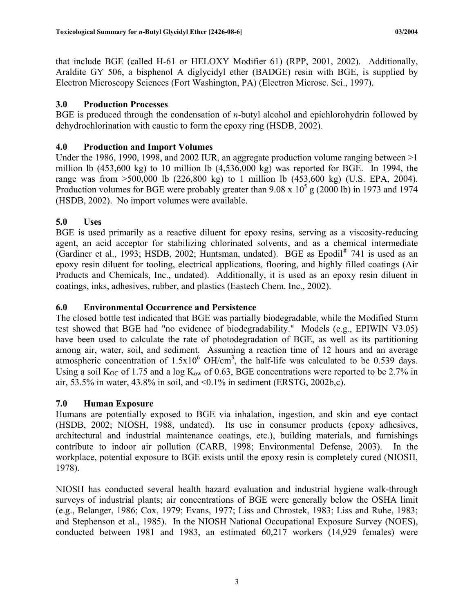<span id="page-12-0"></span>that include BGE (called H-61 or HELOXY Modifier 61) (RPP, 2001, 2002). Additionally, Araldite GY 506, a bisphenol A diglycidyl ether (BADGE) resin with BGE, is supplied by Electron Microscopy Sciences (Fort Washington, PA) (Electron Microsc. Sci., 1997).

## **3.0 Production Processes**

BGE is produced through the condensation of *n*-butyl alcohol and epichlorohydrin followed by dehydrochlorination with caustic to form the epoxy ring (HSDB, 2002).

## **4.0 Production and Import Volumes**

Under the 1986, 1990, 1998, and 2002 IUR, an aggregate production volume ranging between  $>1$ million lb (453,600 kg) to 10 million lb (4,536,000 kg) was reported for BGE. In 1994, the range was from >500,000 lb (226,800 kg) to 1 million lb (453,600 kg) (U.S. EPA, 2004). Production volumes for BGE were probably greater than  $9.08 \times 10^5$  g (2000 lb) in 1973 and 1974 (HSDB, 2002). No import volumes were available.

## **5.0 Uses**

BGE is used primarily as a reactive diluent for epoxy resins, serving as a viscosity-reducing agent, an acid acceptor for stabilizing chlorinated solvents, and as a chemical intermediate (Gardiner et al., 1993; HSDB, 2002; Huntsman, undated). BGE as Epodil® 741 is used as an epoxy resin diluent for tooling, electrical applications, flooring, and highly filled coatings (Air Products and Chemicals, Inc., undated). Additionally, it is used as an epoxy resin diluent in coatings, inks, adhesives, rubber, and plastics (Eastech Chem. Inc., 2002).

## **6.0 Environmental Occurrence and Persistence**

The closed bottle test indicated that BGE was partially biodegradable, while the Modified Sturm test showed that BGE had "no evidence of biodegradability." Models (e.g., EPIWIN V3.05) have been used to calculate the rate of photodegradation of BGE, as well as its partitioning among air, water, soil, and sediment. Assuming a reaction time of 12 hours and an average atmospheric concentration of  $1.5x10^6$  OH/cm<sup>3</sup>, the half-life was calculated to be 0.539 days. Using a soil  $K_{OC}$  of 1.75 and a log  $K_{ow}$  of 0.63, BGE concentrations were reported to be 2.7% in air, 53.5% in water, 43.8% in soil, and <0.1% in sediment (ERSTG, 2002b,c).

## **7.0 Human Exposure**

Humans are potentially exposed to BGE via inhalation, ingestion, and skin and eye contact (HSDB, 2002; NIOSH, 1988, undated). Its use in consumer products (epoxy adhesives, architectural and industrial maintenance coatings, etc.), building materials, and furnishings contribute to indoor air pollution (CARB, 1998; Environmental Defense, 2003). In the workplace, potential exposure to BGE exists until the epoxy resin is completely cured (NIOSH, 1978).

NIOSH has conducted several health hazard evaluation and industrial hygiene walk-through surveys of industrial plants; air concentrations of BGE were generally below the OSHA limit (e.g., Belanger, 1986; Cox, 1979; Evans, 1977; Liss and Chrostek, 1983; Liss and Ruhe, 1983; and Stephenson et al., 1985). In the NIOSH National Occupational Exposure Survey (NOES), conducted between 1981 and 1983, an estimated 60,217 workers (14,929 females) were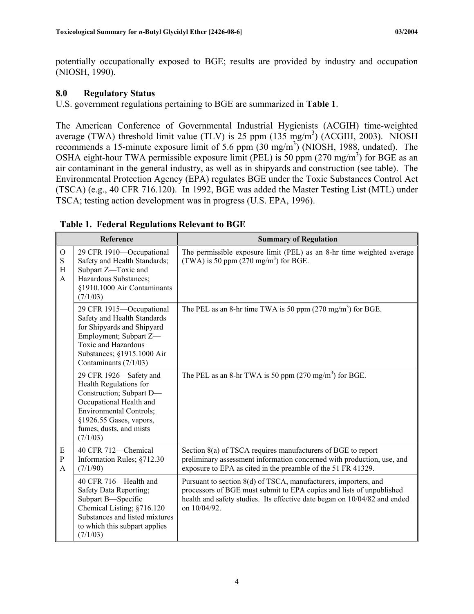<span id="page-13-0"></span>potentially occupationally exposed to BGE; results are provided by industry and occupation (NIOSH, 1990).

## **8.0 Regulatory Status**

U.S. government regulations pertaining to BGE are summarized in **Table 1**.

The American Conference of Governmental Industrial Hygienists (ACGIH) time-weighted average (TWA) threshold limit value (TLV) is 25 ppm  $(135 \text{ mg/m}^3)$  (ACGIH, 2003). NIOSH recommends a 15-minute exposure limit of 5.6 ppm  $(30 \text{ mg/m}^3)$  (NIOSH, 1988, undated). The OSHA eight-hour TWA permissible exposure limit (PEL) is 50 ppm  $(270 \text{ mg/m}^3)$  for BGE as an air contaminant in the general industry, as well as in shipyards and construction (see table). The Environmental Protection Agency (EPA) regulates BGE under the Toxic Substances Control Act (TSCA) (e.g., 40 CFR 716.120). In 1992, BGE was added the Master Testing List (MTL) under TSCA; testing action development was in progress (U.S. EPA, 1996).

|                                | Reference                                                                                                                                                                                                   | <b>Summary of Regulation</b>                                                                                                                                                                                                         |
|--------------------------------|-------------------------------------------------------------------------------------------------------------------------------------------------------------------------------------------------------------|--------------------------------------------------------------------------------------------------------------------------------------------------------------------------------------------------------------------------------------|
| $\mathcal{O}$<br>S<br>H<br>A   | 29 CFR 1910-Occupational<br>Safety and Health Standards;<br>Subpart Z-Toxic and<br>Hazardous Substances;<br>§1910.1000 Air Contaminants<br>(7/1/03)                                                         | The permissible exposure limit (PEL) as an 8-hr time weighted average<br>(TWA) is 50 ppm $(270 \text{ mg/m}^3)$ for BGE.                                                                                                             |
|                                | 29 CFR 1915-Occupational<br>Safety and Health Standards<br>for Shipyards and Shipyard<br>Employment; Subpart Z-<br>Toxic and Hazardous<br>Substances; §1915.1000 Air<br>Contaminants (7/1/03)               | The PEL as an 8-hr time TWA is 50 ppm $(270 \text{ mg/m}^3)$ for BGE.                                                                                                                                                                |
|                                | 29 CFR 1926-Safety and<br>Health Regulations for<br>Construction; Subpart D-<br>Occupational Health and<br><b>Environmental Controls;</b><br>§1926.55 Gases, vapors,<br>fumes, dusts, and mists<br>(7/1/03) | The PEL as an 8-hr TWA is 50 ppm $(270 \text{ mg/m}^3)$ for BGE.                                                                                                                                                                     |
| E<br>${\bf P}$<br>$\mathsf{A}$ | 40 CFR 712-Chemical<br>Information Rules; §712.30<br>(7/1/90)                                                                                                                                               | Section 8(a) of TSCA requires manufacturers of BGE to report<br>preliminary assessment information concerned with production, use, and<br>exposure to EPA as cited in the preamble of the 51 FR 41329.                               |
|                                | 40 CFR 716—Health and<br>Safety Data Reporting;<br>Subpart B-Specific<br>Chemical Listing; §716.120<br>Substances and listed mixtures<br>to which this subpart applies<br>(7/1/03)                          | Pursuant to section 8(d) of TSCA, manufacturers, importers, and<br>processors of BGE must submit to EPA copies and lists of unpublished<br>health and safety studies. Its effective date began on 10/04/82 and ended<br>on 10/04/92. |

## **Table 1. Federal Regulations Relevant to BGE**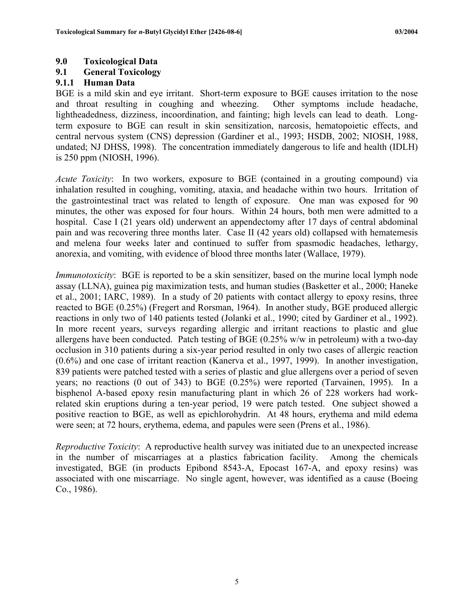#### <span id="page-14-0"></span>**9.0 Toxicological Data**

#### **9.1 General Toxicology**

#### **9.1.1 Human Data**

BGE is a mild skin and eye irritant. Short-term exposure to BGE causes irritation to the nose and throat resulting in coughing and wheezing. Other symptoms include headache, lightheadedness, dizziness, incoordination, and fainting; high levels can lead to death. Longterm exposure to BGE can result in skin sensitization, narcosis, hematopoietic effects, and central nervous system (CNS) depression (Gardiner et al., 1993; HSDB, 2002; NIOSH, 1988, undated; NJ DHSS, 1998). The concentration immediately dangerous to life and health (IDLH) is 250 ppm (NIOSH, 1996).

*Acute Toxicity*: In two workers, exposure to BGE (contained in a grouting compound) via inhalation resulted in coughing, vomiting, ataxia, and headache within two hours. Irritation of the gastrointestinal tract was related to length of exposure. One man was exposed for 90 minutes, the other was exposed for four hours. Within 24 hours, both men were admitted to a hospital. Case I (21 years old) underwent an appendectomy after 17 days of central abdominal pain and was recovering three months later. Case II (42 years old) collapsed with hematemesis and melena four weeks later and continued to suffer from spasmodic headaches, lethargy, anorexia, and vomiting, with evidence of blood three months later (Wallace, 1979).

*Immunotoxicity*: BGE is reported to be a skin sensitizer, based on the murine local lymph node assay (LLNA), guinea pig maximization tests, and human studies (Basketter et al., 2000; Haneke et al., 2001; IARC, 1989). In a study of 20 patients with contact allergy to epoxy resins, three reacted to BGE (0.25%) (Fregert and Rorsman, 1964). In another study, BGE produced allergic reactions in only two of 140 patients tested (Jolanki et al., 1990; cited by Gardiner et al., 1992). In more recent years, surveys regarding allergic and irritant reactions to plastic and glue allergens have been conducted. Patch testing of BGE (0.25% w/w in petroleum) with a two-day occlusion in 310 patients during a six-year period resulted in only two cases of allergic reaction (0.6%) and one case of irritant reaction (Kanerva et al., 1997, 1999). In another investigation, 839 patients were patched tested with a series of plastic and glue allergens over a period of seven years; no reactions (0 out of 343) to BGE (0.25%) were reported (Tarvainen, 1995). In a bisphenol A-based epoxy resin manufacturing plant in which 26 of 228 workers had workrelated skin eruptions during a ten-year period, 19 were patch tested. One subject showed a positive reaction to BGE, as well as epichlorohydrin. At 48 hours, erythema and mild edema were seen; at 72 hours, erythema, edema, and papules were seen (Prens et al., 1986).

*Reproductive Toxicity*: A reproductive health survey was initiated due to an unexpected increase in the number of miscarriages at a plastics fabrication facility. Among the chemicals investigated, BGE (in products Epibond 8543-A, Epocast 167-A, and epoxy resins) was associated with one miscarriage. No single agent, however, was identified as a cause (Boeing Co., 1986).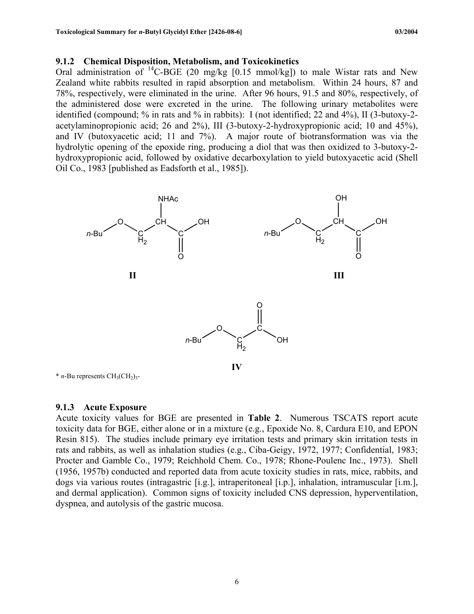#### <span id="page-15-0"></span>**9.1.2 Chemical Disposition, Metabolism, and Toxicokinetics**

Oral administration of  ${}^{14}$ C-BGE (20 mg/kg [0.15 mmol/kg]) to male Wistar rats and New Zealand white rabbits resulted in rapid absorption and metabolism. Within 24 hours, 87 and 78%, respectively, were eliminated in the urine. After 96 hours, 91.5 and 80%, respectively, of the administered dose were excreted in the urine. The following urinary metabolites were identified (compound; % in rats and % in rabbits): I (not identified; 22 and 4%), II (3-butoxy-2 acetylaminopropionic acid; 26 and 2%), III (3-butoxy-2-hydroxypropionic acid; 10 and 45%), and IV (butoxyacetic acid; 11 and 7%). A major route of biotransformation was via the hydrolytic opening of the epoxide ring, producing a diol that was then oxidized to 3-butoxy-2 hydroxypropionic acid, followed by oxidative decarboxylation to yield butoxyacetic acid (Shell Oil Co., 1983 [published as Eadsforth et al., 1985]).



 $*$  *n*-Bu represents  $CH<sub>3</sub>(CH<sub>2</sub>)<sub>3</sub>$ -

#### **9.1.3 Acute Exposure**

Acute toxicity values for BGE are presented in **Table 2**. Numerous TSCATS report acute toxicity data for BGE, either alone or in a mixture (e.g., Epoxide No. 8, Cardura E10, and EPON Resin 815). The studies include primary eye irritation tests and primary skin irritation tests in rats and rabbits, as well as inhalation studies (e.g., Ciba-Geigy, 1972, 1977; Confidential, 1983; Procter and Gamble Co., 1979; Reichhold Chem. Co., 1978; Rhone-Poulenc Inc., 1973). Shell (1956, 1957b) conducted and reported data from acute toxicity studies in rats, mice, rabbits, and dogs via various routes (intragastric [i.g.], intraperitoneal [i.p.], inhalation, intramuscular [i.m.], and dermal application). Common signs of toxicity included CNS depression, hyperventilation, dyspnea, and autolysis of the gastric mucosa.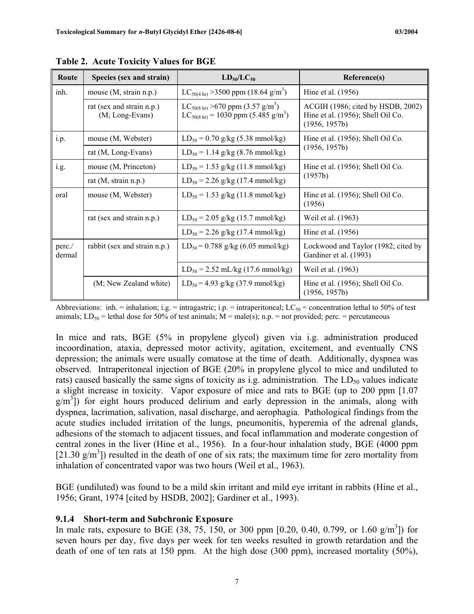| Route           | Species (sex and strain)                       | $LD_{50}/LC_{50}$                                                                                                             | Reference(s)                                                                            |  |
|-----------------|------------------------------------------------|-------------------------------------------------------------------------------------------------------------------------------|-----------------------------------------------------------------------------------------|--|
| inh.            | mouse (M, strain n.p.)                         | $LC_{50(4 \text{ hr})}$ > 3500 ppm (18.64 g/m <sup>3</sup> )                                                                  | Hine et al. (1956)                                                                      |  |
|                 | rat (sex and strain n.p.)<br>$(M; Long-Evans)$ | $LC_{50(8 \text{ hr})}$ >670 ppm (3.57 g/m <sup>3</sup> )<br>$LC_{50(8 \text{ hr})} = 1030 \text{ ppm} (5.485 \text{ g/m}^3)$ | ACGIH (1986; cited by HSDB, 2002)<br>Hine et al. (1956); Shell Oil Co.<br>(1956, 1957b) |  |
| i.p.            | mouse (M, Webster)                             | $LD_{50} = 0.70$ g/kg (5.38 mmol/kg)                                                                                          | Hine et al. (1956); Shell Oil Co.                                                       |  |
|                 | rat (M, Long-Evans)                            | $LD_{50} = 1.14$ g/kg (8.76 mmol/kg)                                                                                          | (1956, 1957b)                                                                           |  |
| i.g.            | mouse (M, Princeton)                           | $LD_{50} = 1.53$ g/kg (11.8 mmol/kg)                                                                                          | Hine et al. (1956); Shell Oil Co.<br>(1957b)                                            |  |
|                 | rat $(M, strain n.p.)$                         | $LD_{50} = 2.26$ g/kg (17.4 mmol/kg)                                                                                          |                                                                                         |  |
| oral            | mouse (M, Webster)                             | $LD_{50} = 1.53$ g/kg (11.8 mmol/kg)                                                                                          | Hine et al. $(1956)$ ; Shell Oil Co.<br>(1956)                                          |  |
|                 | rat (sex and strain n.p.)                      | $LD_{50} = 2.05$ g/kg (15.7 mmol/kg)                                                                                          | Weil et al. (1963)                                                                      |  |
|                 |                                                | $LD_{50} = 2.26$ g/kg (17.4 mmol/kg)                                                                                          | Hine et al. (1956)                                                                      |  |
| perc.<br>dermal | rabbit (sex and strain n.p.)                   | $LD_{50} = 0.788$ g/kg (6.05 mmol/kg)                                                                                         | Lockwood and Taylor (1982; cited by<br>Gardiner et al. (1993)                           |  |
|                 |                                                | $LD_{50} = 2.52$ mL/kg (17.6 mmol/kg)                                                                                         | Weil et al. (1963)                                                                      |  |
|                 | (M; New Zealand white)                         | $LD_{50} = 4.93$ g/kg (37.9 mmol/kg)                                                                                          | Hine et al. (1956); Shell Oil Co.<br>(1956, 1957b)                                      |  |

<span id="page-16-0"></span>**Table 2. Acute Toxicity Values for BGE** 

Abbreviations: inh. = inhalation; i.g. = intragastric; i.p. = intraperitoneal; LC<sub>50</sub> = concentration lethal to 50% of test animals;  $LD_{50}$  = lethal dose for 50% of test animals;  $M = male(s)$ ; n.p. = not provided; perc. = percutaneous

In mice and rats, BGE (5% in propylene glycol) given via i.g. administration produced incoordination, ataxia, depressed motor activity, agitation, excitement, and eventually CNS depression; the animals were usually comatose at the time of death. Additionally, dyspnea was observed. Intraperitoneal injection of BGE (20% in propylene glycol to mice and undiluted to rats) caused basically the same signs of toxicity as i.g. administration. The  $LD_{50}$  values indicate a slight increase in toxicity. Vapor exposure of mice and rats to BGE (up to 200 ppm [1.07  $g/m<sup>3</sup>$ ) for eight hours produced delirium and early depression in the animals, along with dyspnea, lacrimation, salivation, nasal discharge, and aerophagia. Pathological findings from the acute studies included irritation of the lungs, pneumonitis, hyperemia of the adrenal glands, adhesions of the stomach to adjacent tissues, and focal inflammation and moderate congestion of central zones in the liver (Hine et al., 1956). In a four-hour inhalation study, BGE (4000 ppm  $[21.30 \text{ g/m}^3]$ ) resulted in the death of one of six rats; the maximum time for zero mortality from inhalation of concentrated vapor was two hours (Weil et al., 1963).

BGE (undiluted) was found to be a mild skin irritant and mild eye irritant in rabbits (Hine et al., 1956; Grant, 1974 [cited by HSDB, 2002]; Gardiner et al., 1993).

#### **9.1.4 Short-term and Subchronic Exposure**

In male rats, exposure to BGE (38, 75, 150, or 300 ppm [0.20, 0.40, 0.799, or 1.60  $g/m<sup>3</sup>$ ]) for seven hours per day, five days per week for ten weeks resulted in growth retardation and the death of one of ten rats at 150 ppm. At the high dose (300 ppm), increased mortality (50%),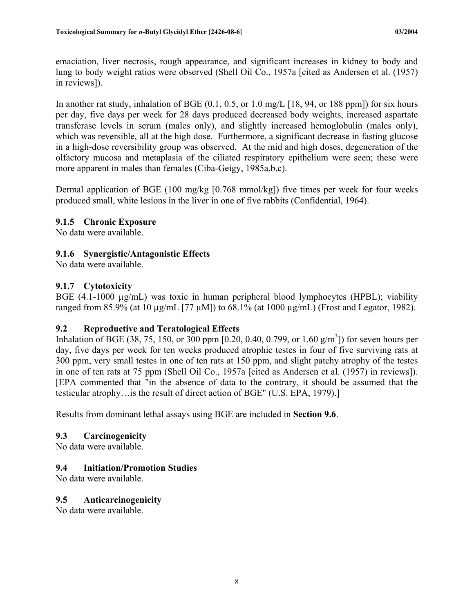<span id="page-17-0"></span>emaciation, liver necrosis, rough appearance, and significant increases in kidney to body and lung to body weight ratios were observed (Shell Oil Co., 1957a [cited as Andersen et al. (1957) in reviews]).

In another rat study, inhalation of BGE (0.1, 0.5, or 1.0 mg/L [18, 94, or 188 ppm]) for six hours per day, five days per week for 28 days produced decreased body weights, increased aspartate transferase levels in serum (males only), and slightly increased hemoglobulin (males only), which was reversible, all at the high dose. Furthermore, a significant decrease in fasting glucose in a high-dose reversibility group was observed. At the mid and high doses, degeneration of the olfactory mucosa and metaplasia of the ciliated respiratory epithelium were seen; these were more apparent in males than females (Ciba-Geigy, 1985a,b,c).

Dermal application of BGE (100 mg/kg [0.768 mmol/kg]) five times per week for four weeks produced small, white lesions in the liver in one of five rabbits (Confidential, 1964).

## **9.1.5 Chronic Exposure**

No data were available.

## **9.1.6 Synergistic/Antagonistic Effects**

No data were available.

## **9.1.7 Cytotoxicity**

BGE (4.1-1000 µg/mL) was toxic in human peripheral blood lymphocytes (HPBL); viability ranged from 85.9% (at 10  $\mu$ g/mL [77  $\mu$ M]) to 68.1% (at 1000  $\mu$ g/mL) (Frost and Legator, 1982).

## **9.2 Reproductive and Teratological Effects**

Inhalation of BGE (38, 75, 150, or 300 ppm [0.20, 0.40, 0.799, or 1.60  $\frac{g}{m^3}$ ]) for seven hours per day, five days per week for ten weeks produced atrophic testes in four of five surviving rats at 300 ppm, very small testes in one of ten rats at 150 ppm, and slight patchy atrophy of the testes in one of ten rats at 75 ppm (Shell Oil Co., 1957a [cited as Andersen et al. (1957) in reviews]). [EPA commented that "in the absence of data to the contrary, it should be assumed that the testicular atrophy…is the result of direct action of BGE" (U.S. EPA, 1979).]

Results from dominant lethal assays using BGE are included in **Section 9.6**.

## **9.3 Carcinogenicity**

No data were available.

## **9.4 Initiation/Promotion Studies**

No data were available.

## **9.5 Anticarcinogenicity**

No data were available.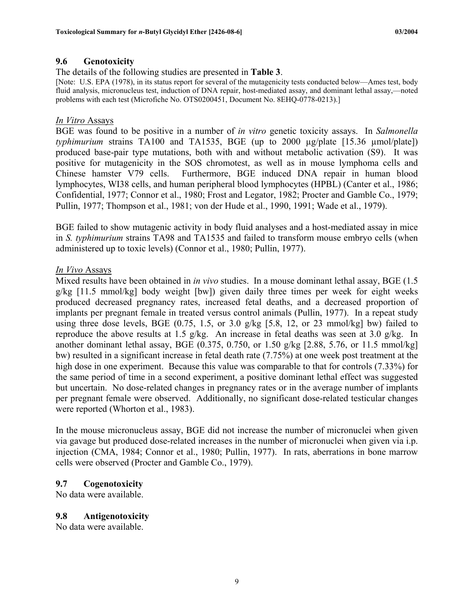#### <span id="page-18-0"></span>**9.6 Genotoxicity**

The details of the following studies are presented in **Table 3**.<br>[Note: U.S. EPA (1978), in its status report for several of the mutagenicity tests conducted below—Ames test, body fluid analysis, micronucleus test, induction of DNA repair, host-mediated assay, and dominant lethal assay,—noted problems with each test (Microfiche No. OTS0200451, Document No. 8EHQ-0778-0213).]

#### *In Vitro* Assays

BGE was found to be positive in a number of *in vitro* genetic toxicity assays. In *Salmonella typhimurium* strains TA100 and TA1535, BGE (up to 2000 µg/plate [15.36 µmol/plate]) produced base-pair type mutations, both with and without metabolic activation (S9). It was positive for mutagenicity in the SOS chromotest, as well as in mouse lymphoma cells and Chinese hamster V79 cells. Furthermore, BGE induced DNA repair in human blood lymphocytes, WI38 cells, and human peripheral blood lymphocytes (HPBL) (Canter et al., 1986; Confidential, 1977; Connor et al., 1980; Frost and Legator, 1982; Procter and Gamble Co., 1979; Pullin, 1977; Thompson et al., 1981; von der Hude et al., 1990, 1991; Wade et al., 1979).

BGE failed to show mutagenic activity in body fluid analyses and a host-mediated assay in mice in *S. typhimurium* strains TA98 and TA1535 and failed to transform mouse embryo cells (when administered up to toxic levels) (Connor et al., 1980; Pullin, 1977).

#### *In Vivo* Assays

Mixed results have been obtained in *in vivo* studies. In a mouse dominant lethal assay, BGE (1.5 g/kg [11.5 mmol/kg] body weight [bw]) given daily three times per week for eight weeks produced decreased pregnancy rates, increased fetal deaths, and a decreased proportion of implants per pregnant female in treated versus control animals (Pullin, 1977). In a repeat study using three dose levels, BGE  $(0.75, 1.5, \text{ or } 3.0 \text{ g/kg } [5.8, 12, \text{ or } 23 \text{ mmol/kg}]$  bw) failed to reproduce the above results at 1.5 g/kg. An increase in fetal deaths was seen at 3.0 g/kg. In another dominant lethal assay, BGE  $(0.375, 0.750, \text{or } 1.50 \text{ g/kg}$  [2.88, 5.76, or 11.5 mmol/kg] bw) resulted in a significant increase in fetal death rate (7.75%) at one week post treatment at the high dose in one experiment. Because this value was comparable to that for controls (7.33%) for the same period of time in a second experiment, a positive dominant lethal effect was suggested but uncertain. No dose-related changes in pregnancy rates or in the average number of implants per pregnant female were observed. Additionally, no significant dose-related testicular changes were reported (Whorton et al., 1983).

In the mouse micronucleus assay, BGE did not increase the number of micronuclei when given via gavage but produced dose-related increases in the number of micronuclei when given via i.p. injection (CMA, 1984; Connor et al., 1980; Pullin, 1977). In rats, aberrations in bone marrow cells were observed (Procter and Gamble Co., 1979).

## **9.7 Cogenotoxicity**

No data were available.

#### **9.8 Antigenotoxicity**

No data were available.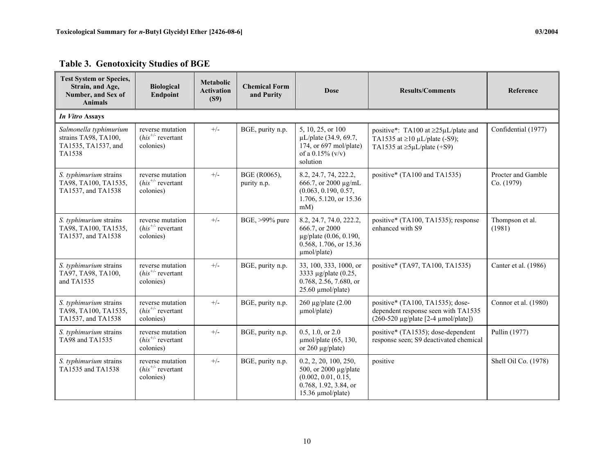| <b>Table 3. Genotoxicity Studies of BGE</b> |
|---------------------------------------------|
|---------------------------------------------|

<span id="page-19-0"></span>

| <b>Test System or Species,</b><br>Strain, and Age,<br>Number, and Sex of<br><b>Animals</b> | <b>Biological</b><br>Endpoint                           | <b>Metabolic</b><br><b>Activation</b><br>(S9) | <b>Chemical Form</b><br>and Purity | <b>Dose</b>                                                                                                         | <b>Results/Comments</b>                                                                                                          | Reference                        |
|--------------------------------------------------------------------------------------------|---------------------------------------------------------|-----------------------------------------------|------------------------------------|---------------------------------------------------------------------------------------------------------------------|----------------------------------------------------------------------------------------------------------------------------------|----------------------------------|
| In Vitro Assays                                                                            |                                                         |                                               |                                    |                                                                                                                     |                                                                                                                                  |                                  |
| Salmonella typhimurium<br>strains TA98, TA100,<br>TA1535, TA1537, and<br>TA1538            | reverse mutation<br>$(his^{+/}$ revertant<br>colonies)  | $+/-$                                         | BGE, purity n.p.                   | 5, 10, 25, or 100<br>µL/plate (34.9, 69.7,<br>174, or 697 mol/plate)<br>of a $0.15\%$ (v/v)<br>solution             | positive*: TA100 at ≥25µL/plate and<br>TA1535 at $\geq$ 10 µL/plate (-S9);<br>TA1535 at $\geq 5 \mu L$ /plate (+S9)              | Confidential (1977)              |
| S. typhimurium strains<br>TA98, TA100, TA1535,<br>TA1537, and TA1538                       | reverse mutation<br>$(his^{+/})$ revertant<br>colonies) | $+/-$                                         | BGE (R0065),<br>purity n.p.        | 8.2, 24.7, 74, 222.2,<br>666.7, or 2000 μg/mL<br>(0.063, 0.190, 0.57,<br>1.706, 5.120, or 15.36<br>$mM$ )           | positive* (TA100 and TA1535)                                                                                                     | Procter and Gamble<br>Co. (1979) |
| S. typhimurium strains<br>TA98, TA100, TA1535,<br>TA1537, and TA1538                       | reverse mutation<br>$(his^{+/}$ revertant<br>colonies)  | $+/-$                                         | BGE, >99% pure                     | 8.2, 24.7, 74.0, 222.2,<br>666.7, or 2000<br>µg/plate (0.06, 0.190,<br>0.568, 1.706, or 15.36<br>umol/plate)        | positive* (TA100, TA1535); response<br>enhanced with S9                                                                          | Thompson et al.<br>(1981)        |
| S. typhimurium strains<br>TA97, TA98, TA100,<br>and TA1535                                 | reverse mutation<br>$(his^{+/}$ revertant<br>colonies)  | $+/-$                                         | BGE, purity n.p.                   | 33, 100, 333, 1000, or<br>3333 µg/plate (0.25,<br>0.768, 2.56, 7.680, or<br>$25.60 \mu$ mol/plate)                  | positive* (TA97, TA100, TA1535)                                                                                                  | Canter et al. (1986)             |
| S. typhimurium strains<br>TA98, TA100, TA1535,<br>TA1537, and TA1538                       | reverse mutation<br>$(his^{+/})$ revertant<br>colonies) | $+/-$                                         | BGE, purity n.p.                   | $260 \mu g$ plate $(2.00$<br>umol/plate)                                                                            | positive* (TA100, TA1535); dose-<br>dependent response seen with TA1535<br>$(260-520 \text{ µg/plate} [2-4 \text{ µmol/plate}])$ | Connor et al. (1980)             |
| S. typhimurium strains<br>TA98 and TA1535                                                  | reverse mutation<br>$(his^{+/}$ revertant<br>colonies)  | $+/-$                                         | BGE, purity n.p.                   | 0.5, 1.0, or 2.0<br>$\mu$ mol/plate (65, 130,<br>or $260 \mu g$ /plate)                                             | positive* (TA1535); dose-dependent<br>response seen; S9 deactivated chemical                                                     | Pullin (1977)                    |
| S. typhimurium strains<br>TA1535 and TA1538                                                | reverse mutation<br>$(his^{+/})$ revertant<br>colonies) | $+/-$                                         | BGE, purity n.p.                   | 0.2, 2, 20, 100, 250,<br>500, or 2000 µg/plate<br>(0.002, 0.01, 0.15,<br>0.768, 1.92, 3.84, or<br>15.36 µmol/plate) | positive                                                                                                                         | Shell Oil Co. (1978)             |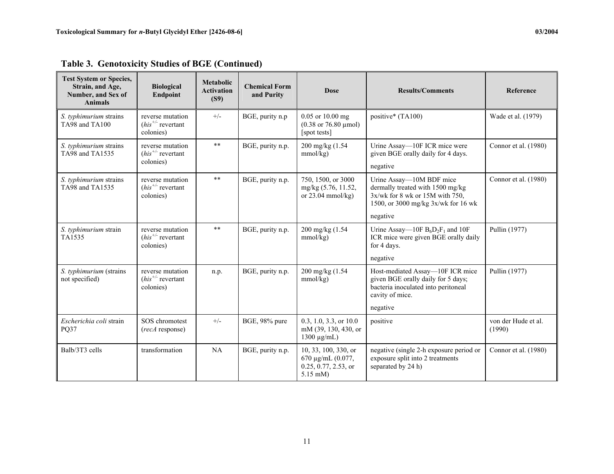| <b>Test System or Species,</b><br>Strain, and Age,<br>Number, and Sex of<br><b>Animals</b> | <b>Biological</b><br><b>Endpoint</b>                    | <b>Metabolic</b><br><b>Activation</b><br>(S9) | <b>Chemical Form</b><br>and Purity | <b>Dose</b>                                                                     | <b>Results/Comments</b>                                                                                                                    | Reference                     |
|--------------------------------------------------------------------------------------------|---------------------------------------------------------|-----------------------------------------------|------------------------------------|---------------------------------------------------------------------------------|--------------------------------------------------------------------------------------------------------------------------------------------|-------------------------------|
| S. typhimurium strains<br>TA98 and TA100                                                   | reverse mutation<br>$(his^{+/})$ revertant<br>colonies) | $+/-$                                         | BGE, purity n.p                    | 0.05 or 10.00 mg<br>$(0.38 \text{ or } 76.80 \text{ \mu}$ mol)<br>[spot tests]  | positive* (TA100)                                                                                                                          | Wade et al. (1979)            |
| S. typhimurium strains<br>TA98 and TA1535                                                  | reverse mutation<br>$(his^{+/}$ revertant<br>colonies)  | $\ast\ast$                                    | BGE, purity n.p.                   | 200 mg/kg (1.54)<br>mmol/kg)                                                    | Urine Assay-10F ICR mice were<br>given BGE orally daily for 4 days.<br>negative                                                            | Connor et al. (1980)          |
| S. typhimurium strains<br>TA98 and TA1535                                                  | reverse mutation<br>$(his^{+/})$ revertant<br>colonies) | $* *$                                         | BGE, purity n.p.                   | 750, 1500, or 3000<br>mg/kg (5.76, 11.52,<br>or $23.04$ mmol/kg)                | Urine Assay—10M BDF mice<br>dermally treated with 1500 mg/kg<br>$3x/wk$ for 8 wk or 15M with 750,<br>1500, or 3000 mg/kg $3x/wk$ for 16 wk | Connor et al. (1980)          |
|                                                                                            |                                                         |                                               |                                    |                                                                                 | negative                                                                                                                                   |                               |
| S. typhimurium strain<br>TA1535                                                            | reverse mutation<br>$(his^{+/}$ revertant<br>colonies)  | $**$                                          | BGE, purity n.p.                   | 200 mg/kg (1.54)<br>mmol/kg)                                                    | Urine Assay—10F $B_6D_2F_1$ and 10F<br>ICR mice were given BGE orally daily<br>for 4 days.                                                 | Pullin (1977)                 |
|                                                                                            |                                                         |                                               |                                    |                                                                                 | negative                                                                                                                                   |                               |
| S. typhimurium (strains<br>not specified)                                                  | reverse mutation<br>$(his^{+/})$ revertant<br>colonies) | n.p.                                          | BGE, purity n.p.                   | 200 mg/kg (1.54)<br>mmol/kg)                                                    | Host-mediated Assay-10F ICR mice<br>given BGE orally daily for 5 days;<br>bacteria inoculated into peritoneal<br>cavity of mice.           | Pullin (1977)                 |
|                                                                                            |                                                         |                                               |                                    |                                                                                 | negative                                                                                                                                   |                               |
| Escherichia coli strain<br><b>PQ37</b>                                                     | SOS chromotest<br>(recA response)                       | $+/-$                                         | BGE, 98% pure                      | 0.3, 1.0, 3.3, or 10.0<br>mM (39, 130, 430, or<br>$1300 \mu g/mL$               | positive                                                                                                                                   | von der Hude et al.<br>(1990) |
| Balb/3T3 cells                                                                             | transformation                                          | NA                                            | BGE, purity n.p.                   | 10, 33, 100, 330, or<br>670 μg/mL (0.077,<br>0.25, 0.77, 2.53, or<br>$5.15$ mM) | negative (single 2-h exposure period or<br>exposure split into 2 treatments<br>separated by 24 h)                                          | Connor et al. (1980)          |

**Table 3. Genotoxicity Studies of BGE (Continued)**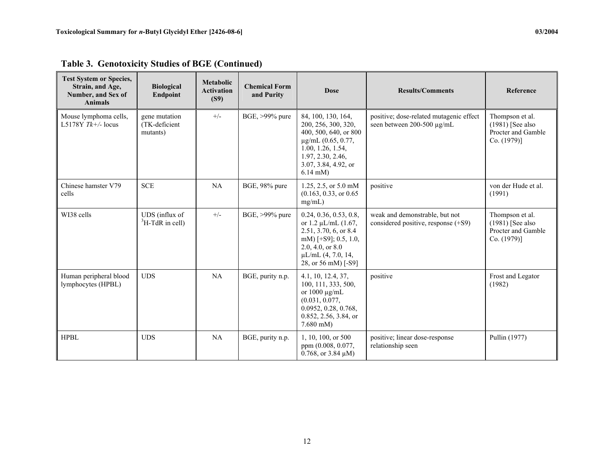| <b>Test System or Species,</b><br>Strain, and Age,<br>Number, and Sex of<br><b>Animals</b> | <b>Biological</b><br>Endpoint              | <b>Metabolic</b><br><b>Activation</b><br>(S9) | <b>Chemical Form</b><br>and Purity | <b>Dose</b>                                                                                                                                                                     | <b>Results/Comments</b>                                                 | Reference                                                                 |
|--------------------------------------------------------------------------------------------|--------------------------------------------|-----------------------------------------------|------------------------------------|---------------------------------------------------------------------------------------------------------------------------------------------------------------------------------|-------------------------------------------------------------------------|---------------------------------------------------------------------------|
| Mouse lymphoma cells,<br>L5178Y $Tk+/$ -locus                                              | gene mutation<br>(TK-deficient<br>mutants) | $+/-$                                         | BGE, >99% pure                     | 84, 100, 130, 164,<br>200, 256, 300, 320,<br>400, 500, 640, or 800<br>µg/mL (0.65, 0.77,<br>1.00, 1.26, 1.54,<br>1.97, 2.30, 2.46,<br>3.07, 3.84, 4.92, or<br>$6.14$ mM)        | positive; dose-related mutagenic effect<br>seen between 200-500 µg/mL   | Thompson et al.<br>$(1981)$ [See also<br>Procter and Gamble<br>Co. (1979) |
| Chinese hamster V79<br>cells                                                               | <b>SCE</b>                                 | NA                                            | BGE, 98% pure                      | 1.25, 2.5, or 5.0 mM<br>(0.163, 0.33, or 0.65)<br>mg/mL)                                                                                                                        | positive                                                                | von der Hude et al.<br>(1991)                                             |
| WI38 cells                                                                                 | UDS (influx of<br>$H-TdR$ in cell)         | $+/-$                                         | BGE, >99% pure                     | 0.24, 0.36, 0.53, 0.8,<br>or 1.2 $\mu L/mL$ (1.67,<br>2.51, 3.70, 6, or 8.4<br>mM) [ $+S9$ ]; 0.5, 1.0,<br>2.0, 4.0, or $8.0$<br>$\mu L/mL$ (4, 7.0, 14,<br>28, or 56 mM) [-S9] | weak and demonstrable, but not<br>considered positive, response $(+S9)$ | Thompson et al.<br>$(1981)$ [See also<br>Procter and Gamble<br>Co. (1979) |
| Human peripheral blood<br>lymphocytes (HPBL)                                               | <b>UDS</b>                                 | NA                                            | BGE, purity n.p.                   | 4.1, 10, 12.4, 37,<br>100, 111, 333, 500,<br>or $1000 \mu g/mL$<br>(0.031, 0.077,<br>0.0952, 0.28, 0.768,<br>0.852, 2.56, 3.84, or<br>$7.680$ mM)                               | positive                                                                | Frost and Legator<br>(1982)                                               |

**Table 3. Genotoxicity Studies of BGE (Continued)** 

HPBL UDS NA BGE, purity n.p. | 1, 10, 100, or 500

ppm (0.008, 0.077, 0.768, or 3.84 µM) positive; linear dose-response

Pullin (1977)

relationship seen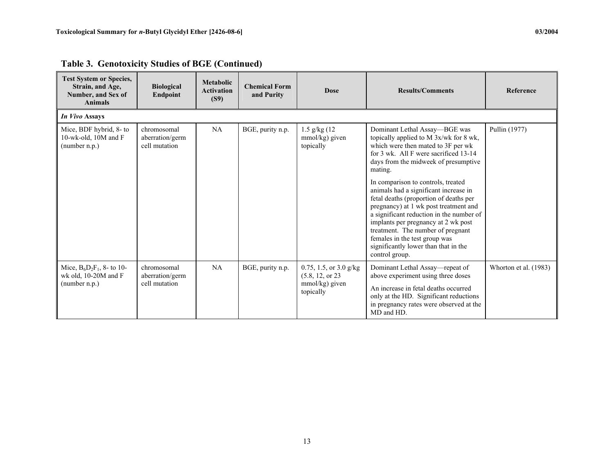| <b>Test System or Species,</b><br>Strain, and Age,<br>Number, and Sex of<br><b>Animals</b> | <b>Biological</b><br>Endpoint                   | <b>Metabolic</b><br><b>Activation</b><br>(S9) | <b>Chemical Form</b><br>and Purity | <b>Dose</b>                                                                 | <b>Results/Comments</b>                                                                                                                                                                                                                                                                                                                                                                                                                                                                                                                                                                        | Reference             |
|--------------------------------------------------------------------------------------------|-------------------------------------------------|-----------------------------------------------|------------------------------------|-----------------------------------------------------------------------------|------------------------------------------------------------------------------------------------------------------------------------------------------------------------------------------------------------------------------------------------------------------------------------------------------------------------------------------------------------------------------------------------------------------------------------------------------------------------------------------------------------------------------------------------------------------------------------------------|-----------------------|
| In Vivo Assays                                                                             |                                                 |                                               |                                    |                                                                             |                                                                                                                                                                                                                                                                                                                                                                                                                                                                                                                                                                                                |                       |
| Mice, BDF hybrid, 8- to<br>10-wk-old, 10M and F<br>(number n.p.)                           | chromosomal<br>aberration/germ<br>cell mutation | NA                                            | BGE, purity n.p.                   | $1.5$ g/kg $(12)$<br>mmol/kg) given<br>topically                            | Dominant Lethal Assay-BGE was<br>topically applied to M 3x/wk for 8 wk,<br>which were then mated to 3F per wk<br>for 3 wk. All F were sacrificed 13-14<br>days from the midweek of presumptive<br>mating.<br>In comparison to controls, treated<br>animals had a significant increase in<br>fetal deaths (proportion of deaths per<br>pregnancy) at 1 wk post treatment and<br>a significant reduction in the number of<br>implants per pregnancy at 2 wk post<br>treatment. The number of pregnant<br>females in the test group was<br>significantly lower than that in the<br>control group. | Pullin (1977)         |
| Mice, $B_6D_2F_1$ , 8- to 10-<br>wk old, 10-20M and F<br>(number n.p.)                     | chromosomal<br>aberration/germ<br>cell mutation | NA                                            | BGE, purity n.p.                   | 0.75, 1.5, or $3.0$ g/kg<br>(5.8, 12, or 23)<br>mmol/kg) given<br>topically | Dominant Lethal Assay—repeat of<br>above experiment using three doses<br>An increase in fetal deaths occurred<br>only at the HD. Significant reductions<br>in pregnancy rates were observed at the<br>MD and HD.                                                                                                                                                                                                                                                                                                                                                                               | Whorton et al. (1983) |

**Table 3. Genotoxicity Studies of BGE (Continued)**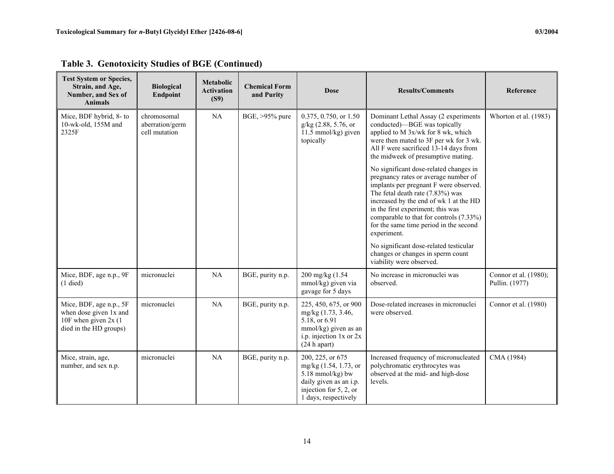| <b>Test System or Species,</b><br>Strain, and Age,<br>Number, and Sex of<br><b>Animals</b>            | <b>Biological</b><br><b>Endpoint</b>            | <b>Metabolic</b><br><b>Activation</b><br>(S9) | <b>Chemical Form</b><br>and Purity | <b>Dose</b>                                                                                                                                 | <b>Results/Comments</b>                                                                                                                                                                                                                                                                                                                         | Reference                               |
|-------------------------------------------------------------------------------------------------------|-------------------------------------------------|-----------------------------------------------|------------------------------------|---------------------------------------------------------------------------------------------------------------------------------------------|-------------------------------------------------------------------------------------------------------------------------------------------------------------------------------------------------------------------------------------------------------------------------------------------------------------------------------------------------|-----------------------------------------|
| Mice, BDF hybrid, 8- to<br>10-wk-old, 155M and<br>2325F                                               | chromosomal<br>aberration/germ<br>cell mutation | NA                                            | BGE, >95% pure                     | 0.375, 0.750, or 1.50<br>g/kg (2.88, 5.76, or<br>11.5 mmol/kg) given<br>topically                                                           | Dominant Lethal Assay (2 experiments<br>conducted)—BGE was topically<br>applied to M 3x/wk for 8 wk, which<br>were then mated to 3F per wk for 3 wk.<br>All F were sacrificed 13-14 days from<br>the midweek of presumptive mating.                                                                                                             | Whorton et al. (1983)                   |
|                                                                                                       |                                                 |                                               |                                    |                                                                                                                                             | No significant dose-related changes in<br>pregnancy rates or average number of<br>implants per pregnant F were observed.<br>The fetal death rate (7.83%) was<br>increased by the end of wk 1 at the HD<br>in the first experiment; this was<br>comparable to that for controls (7.33%)<br>for the same time period in the second<br>experiment. |                                         |
|                                                                                                       |                                                 |                                               |                                    |                                                                                                                                             | No significant dose-related testicular<br>changes or changes in sperm count<br>viability were observed.                                                                                                                                                                                                                                         |                                         |
| Mice, BDF, age n.p., 9F<br>$(1$ died)                                                                 | micronuclei                                     | NA                                            | BGE, purity n.p.                   | 200 mg/kg (1.54<br>mmol/kg) given via<br>gavage for 5 days                                                                                  | No increase in micronuclei was<br>observed.                                                                                                                                                                                                                                                                                                     | Connor et al. (1980);<br>Pullin. (1977) |
| Mice, BDF, age n.p., 5F<br>when dose given 1x and<br>10F when given $2x(1)$<br>died in the HD groups) | micronuclei                                     | NA                                            | BGE, purity n.p.                   | 225, 450, 675, or 900<br>mg/kg (1.73, 3.46,<br>5.18, or 6.91<br>mmol/kg) given as an<br>i.p. injection $1x$ or $2x$<br>$(24 h$ apart)       | Dose-related increases in micronuclei<br>were observed.                                                                                                                                                                                                                                                                                         | Connor et al. (1980)                    |
| Mice, strain, age,<br>number, and sex n.p.                                                            | micronuclei                                     | NA                                            | BGE, purity n.p.                   | 200, 225, or 675<br>mg/kg (1.54, 1.73, or<br>$5.18$ mmol/kg) bw<br>daily given as an i.p.<br>injection for 5, 2, or<br>1 days, respectively | Increased frequency of micronucleated<br>polychromatic erythrocytes was<br>observed at the mid- and high-dose<br>levels.                                                                                                                                                                                                                        | CMA (1984)                              |

**Table 3. Genotoxicity Studies of BGE (Continued)**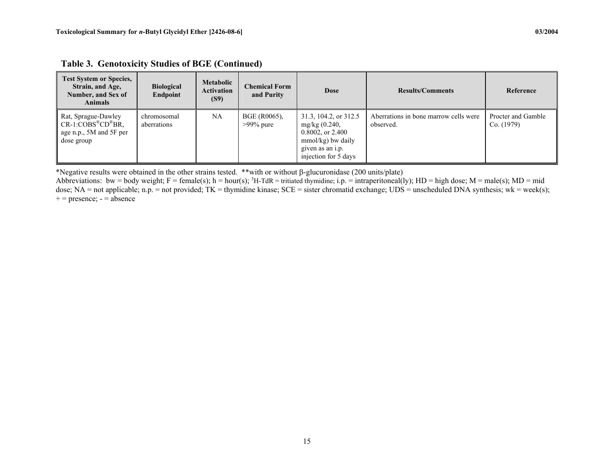| <b>Test System or Species,</b><br>Strain, and Age,<br>Number, and Sex of<br><b>Animals</b>              | <b>Biological</b><br>Endpoint | <b>Metabolic</b><br><b>Activation</b><br>(S9) | <b>Chemical Form</b><br>and Purity | <b>Dose</b>                                                                                                                          | <b>Results/Comments</b>                            | Reference                        |
|---------------------------------------------------------------------------------------------------------|-------------------------------|-----------------------------------------------|------------------------------------|--------------------------------------------------------------------------------------------------------------------------------------|----------------------------------------------------|----------------------------------|
| Rat, Sprague-Dawley<br>$CR-1$ : $COBS^{\otimes}CD^{\otimes}BR$<br>age n.p., 5M and 5F per<br>dose group | chromosomal<br>aberrations    | <b>NA</b>                                     | BGE (R0065).<br>$>99\%$ pure       | 31.3, 104.2, or 312.5<br>mg/kg $(0.240,$<br>$0.8002$ , or $2.400$<br>$mmol/kg)$ bw daily<br>given as an i.p.<br>injection for 5 days | Aberrations in bone marrow cells were<br>observed. | Procter and Gamble<br>Co. (1979) |

**Table 3. Genotoxicity Studies of BGE (Continued)** 

\*Negative results were obtained in the other strains tested. \*\*with or without β-glucuronidase (200 units/plate)

Abbreviations: bw = body weight; F = female(s); h = hour(s); <sup>3</sup>H-TdR = tritiated thymidine; i.p. = intraperitoneal(ly); HD = high dose; M = male(s); MD = mid dose; NA = not applicable; n.p. = not provided; TK = thymidine kinase; SCE = sister chromatid exchange; UDS = unscheduled DNA synthesis; wk = week(s);  $+$  = presence;  $-$  = absence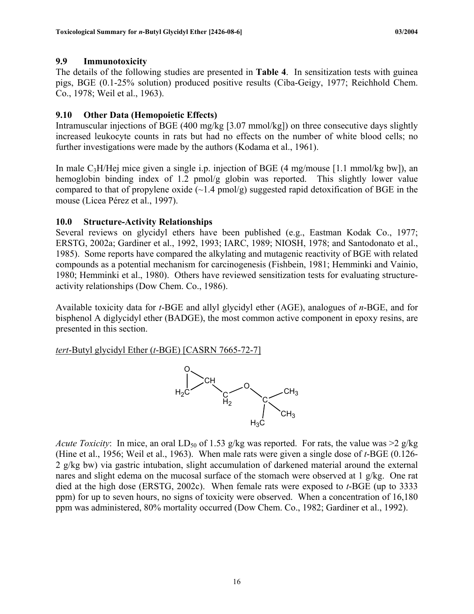## <span id="page-25-0"></span>**9.9 Immunotoxicity**

The details of the following studies are presented in **Table 4**. In sensitization tests with guinea pigs, BGE (0.1-25% solution) produced positive results (Ciba-Geigy, 1977; Reichhold Chem. Co., 1978; Weil et al., 1963).

## **9.10 Other Data (Hemopoietic Effects)**

Intramuscular injections of BGE (400 mg/kg [3.07 mmol/kg]) on three consecutive days slightly increased leukocyte counts in rats but had no effects on the number of white blood cells; no further investigations were made by the authors (Kodama et al., 1961).

In male  $C_3H/He$  mice given a single i.p. injection of BGE (4 mg/mouse [1.1 mmol/kg bw]), an hemoglobin binding index of 1.2 pmol/g globin was reported. This slightly lower value compared to that of propylene oxide  $(\sim 1.4 \text{ pmol/g})$  suggested rapid detoxification of BGE in the mouse (Licea Pérez et al., 1997).

## **10.0 Structure-Activity Relationships**

Several reviews on glycidyl ethers have been published (e.g., Eastman Kodak Co., 1977; ERSTG, 2002a; Gardiner et al., 1992, 1993; IARC, 1989; NIOSH, 1978; and Santodonato et al., 1985). Some reports have compared the alkylating and mutagenic reactivity of BGE with related compounds as a potential mechanism for carcinogenesis (Fishbein, 1981; Hemminki and Vainio, 1980; Hemminki et al., 1980). Others have reviewed sensitization tests for evaluating structureactivity relationships (Dow Chem. Co., 1986).

Available toxicity data for *t*-BGE and allyl glycidyl ether (AGE), analogues of *n*-BGE, and for bisphenol A diglycidyl ether (BADGE), the most common active component in epoxy resins, are presented in this section.

*tert*-Butyl glycidyl Ether (*t*-BGE) [CASRN 7665-72-7]



*Acute Toxicity*: In mice, an oral LD<sub>50</sub> of 1.53 g/kg was reported. For rats, the value was  $>2$  g/kg (Hine et al., 1956; Weil et al., 1963). When male rats were given a single dose of *t*-BGE (0.126- 2 g/kg bw) via gastric intubation, slight accumulation of darkened material around the external nares and slight edema on the mucosal surface of the stomach were observed at 1 g/kg. One rat died at the high dose (ERSTG, 2002c). When female rats were exposed to *t*-BGE (up to 3333 ppm) for up to seven hours, no signs of toxicity were observed. When a concentration of 16,180 ppm was administered, 80% mortality occurred (Dow Chem. Co., 1982; Gardiner et al., 1992).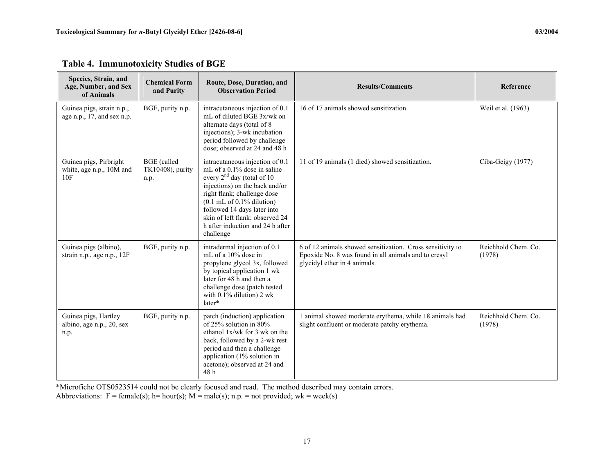| Species, Strain, and<br>Age, Number, and Sex<br>of Animals | <b>Chemical Form</b><br>and Purity             | Route, Dose, Duration, and<br><b>Observation Period</b>                                                                                                                                                                                                                                                                     | <b>Results/Comments</b>                                                                                                                            | Reference                     |
|------------------------------------------------------------|------------------------------------------------|-----------------------------------------------------------------------------------------------------------------------------------------------------------------------------------------------------------------------------------------------------------------------------------------------------------------------------|----------------------------------------------------------------------------------------------------------------------------------------------------|-------------------------------|
| Guinea pigs, strain n.p.,<br>age n.p., $17$ , and sex n.p. | BGE, purity n.p.                               | intracutaneous injection of 0.1<br>mL of diluted BGE 3x/wk on<br>alternate days (total of 8<br>injections); 3-wk incubation<br>period followed by challenge<br>dose; observed at 24 and 48 h                                                                                                                                | 16 of 17 animals showed sensitization.                                                                                                             | Weil et al. (1963)            |
| Guinea pigs, Pirbright<br>white, age n.p., 10M and<br>10F  | <b>BGE</b> (called<br>TK10408), purity<br>n.p. | intracutaneous injection of 0.1<br>mL of a 0.1% dose in saline<br>every $2nd$ day (total of 10<br>injections) on the back and/or<br>right flank; challenge dose<br>$(0.1 \text{ mL of } 0.1\%$ dilution)<br>followed 14 days later into<br>skin of left flank; observed 24<br>h after induction and 24 h after<br>challenge | 11 of 19 animals (1 died) showed sensitization.                                                                                                    | Ciba-Geigy (1977)             |
| Guinea pigs (albino),<br>strain n.p., age n.p., 12F        | BGE, purity n.p.                               | intradermal injection of 0.1<br>mL of a 10% dose in<br>propylene glycol 3x, followed<br>by topical application 1 wk<br>later for 48 h and then a<br>challenge dose (patch tested<br>with 0.1% dilution) 2 wk<br>later*                                                                                                      | 6 of 12 animals showed sensitization. Cross sensitivity to<br>Epoxide No. 8 was found in all animals and to cresyl<br>glycidyl ether in 4 animals. | Reichhold Chem. Co.<br>(1978) |
| Guinea pigs, Hartley<br>albino, age n.p., 20, sex<br>n.p.  | BGE, purity n.p.                               | patch (induction) application<br>of $25\%$ solution in $80\%$<br>ethanol $1x/wk$ for 3 wk on the<br>back, followed by a 2-wk rest<br>period and then a challenge<br>application (1% solution in<br>acetone); observed at 24 and<br>48 h                                                                                     | 1 animal showed moderate erythema, while 18 animals had<br>slight confluent or moderate patchy erythema.                                           | Reichhold Chem. Co.<br>(1978) |

|  | Table 4. Immunotoxicity Studies of BGE |  |  |
|--|----------------------------------------|--|--|
|--|----------------------------------------|--|--|

\*Microfiche OTS0523514 could not be clearly focused and read. The method described may contain errors.

<span id="page-26-0"></span>Abbreviations:  $F = female(s)$ ; h= hour(s); M = male(s); n.p. = not provided; wk = week(s)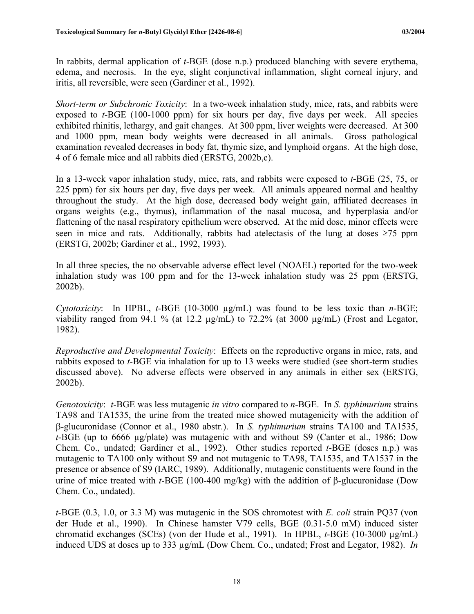In rabbits, dermal application of *t*-BGE (dose n.p.) produced blanching with severe erythema, edema, and necrosis. In the eye, slight conjunctival inflammation, slight corneal injury, and iritis, all reversible, were seen (Gardiner et al., 1992).

*Short-term or Subchronic Toxicity*: In a two-week inhalation study, mice, rats, and rabbits were exposed to *t*-BGE (100-1000 ppm) for six hours per day, five days per week. All species exhibited rhinitis, lethargy, and gait changes. At 300 ppm, liver weights were decreased. At 300 and 1000 ppm, mean body weights were decreased in all animals. Gross pathological examination revealed decreases in body fat, thymic size, and lymphoid organs. At the high dose, 4 of 6 female mice and all rabbits died (ERSTG, 2002b,c).

In a 13-week vapor inhalation study, mice, rats, and rabbits were exposed to *t*-BGE (25, 75, or 225 ppm) for six hours per day, five days per week. All animals appeared normal and healthy throughout the study. At the high dose, decreased body weight gain, affiliated decreases in organs weights (e.g., thymus), inflammation of the nasal mucosa, and hyperplasia and/or flattening of the nasal respiratory epithelium were observed. At the mid dose, minor effects were seen in mice and rats. Additionally, rabbits had atelectasis of the lung at doses  $\geq 75$  ppm (ERSTG, 2002b; Gardiner et al., 1992, 1993).

In all three species, the no observable adverse effect level (NOAEL) reported for the two-week inhalation study was 100 ppm and for the 13-week inhalation study was 25 ppm (ERSTG, 2002b).

*Cytotoxicity*: In HPBL, *t*-BGE (10-3000 µg/mL) was found to be less toxic than *n*-BGE; viability ranged from 94.1 % (at 12.2  $\mu$ g/mL) to 72.2% (at 3000  $\mu$ g/mL) (Frost and Legator, 1982).

*Reproductive and Developmental Toxicity*: Effects on the reproductive organs in mice, rats, and rabbits exposed to *t*-BGE via inhalation for up to 13 weeks were studied (see short-term studies discussed above). No adverse effects were observed in any animals in either sex (ERSTG, 2002b).

*Genotoxicity*: *t*-BGE was less mutagenic *in vitro* compared to *n*-BGE. In *S. typhimurium* strains TA98 and TA1535, the urine from the treated mice showed mutagenicity with the addition of β-glucuronidase (Connor et al., 1980 abstr.). In *S. typhimurium* strains TA100 and TA1535, *t*-BGE (up to 6666 µg/plate) was mutagenic with and without S9 (Canter et al., 1986; Dow Chem. Co., undated; Gardiner et al., 1992). Other studies reported *t*-BGE (doses n.p.) was mutagenic to TA100 only without S9 and not mutagenic to TA98, TA1535, and TA1537 in the presence or absence of S9 (IARC, 1989). Additionally, mutagenic constituents were found in the urine of mice treated with *t*-BGE (100-400 mg/kg) with the addition of β-glucuronidase (Dow Chem. Co., undated).

*t*-BGE (0.3, 1.0, or 3.3 M) was mutagenic in the SOS chromotest with *E. coli* strain PQ37 (von der Hude et al., 1990). In Chinese hamster V79 cells, BGE (0.31-5.0 mM) induced sister chromatid exchanges (SCEs) (von der Hude et al., 1991). In HPBL, *t*-BGE (10-3000 µg/mL) induced UDS at doses up to 333 µg/mL (Dow Chem. Co., undated; Frost and Legator, 1982). *In*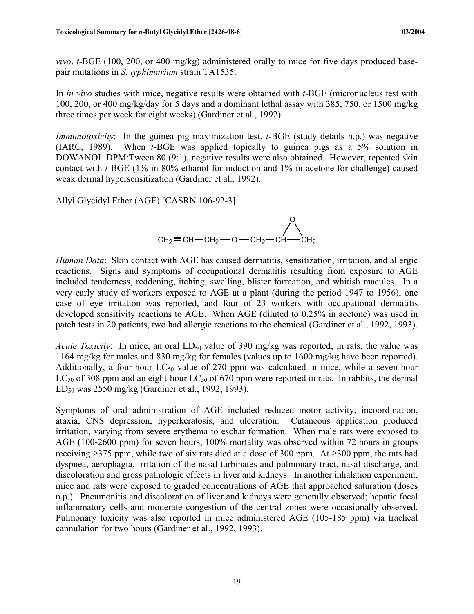*vivo*, *t*-BGE (100, 200, or 400 mg/kg) administered orally to mice for five days produced basepair mutations in *S. typhimurium* strain TA1535.

In *in vivo* studies with mice, negative results were obtained with *t*-BGE (micronucleus test with 100, 200, or 400 mg/kg/day for 5 days and a dominant lethal assay with 385, 750, or 1500 mg/kg three times per week for eight weeks) (Gardiner et al., 1992).

*Immunotoxicity*: In the guinea pig maximization test, *t*-BGE (study details n.p.) was negative (IARC, 1989). When *t*-BGE was applied topically to guinea pigs as a 5% solution in DOWANOL DPM:Tween 80 (9:1), negative results were also obtained. However, repeated skin contact with *t*-BGE (1% in 80% ethanol for induction and 1% in acetone for challenge) caused weak dermal hypersensitization (Gardiner et al., 1992).

Allyl Glycidyl Ether (AGE) [CASRN 106-92-3]

$$
\text{CH}_2=CH-CH_2-O-CH_2-CH-CH_2
$$

*Human Data*: Skin contact with AGE has caused dermatitis, sensitization, irritation, and allergic reactions. Signs and symptoms of occupational dermatitis resulting from exposure to AGE included tenderness, reddening, itching, swelling, blister formation, and whitish macules. In a very early study of workers exposed to AGE at a plant (during the period 1947 to 1956), one case of eye irritation was reported, and four of 23 workers with occupational dermatitis developed sensitivity reactions to AGE. When AGE (diluted to 0.25% in acetone) was used in patch tests in 20 patients, two had allergic reactions to the chemical (Gardiner et al., 1992, 1993).

*Acute Toxicity*: In mice, an oral  $LD_{50}$  value of 390 mg/kg was reported; in rats, the value was 1164 mg/kg for males and 830 mg/kg for females (values up to 1600 mg/kg have been reported). Additionally, a four-hour  $LC_{50}$  value of 270 ppm was calculated in mice, while a seven-hour  $LC_{50}$  of 308 ppm and an eight-hour  $LC_{50}$  of 670 ppm were reported in rats. In rabbits, the dermal LD<sub>50</sub> was 2550 mg/kg (Gardiner et al., 1992, 1993).

Symptoms of oral administration of AGE included reduced motor activity, incoordination, ataxia, CNS depression, hyperkeratosis, and ulceration. Cutaneous application produced irritation, varying from severe erythema to eschar formation. When male rats were exposed to AGE (100-2600 ppm) for seven hours, 100% mortality was observed within 72 hours in groups receiving ≥375 ppm, while two of six rats died at a dose of 300 ppm. At ≥300 ppm, the rats had dyspnea, aerophagia, irritation of the nasal turbinates and pulmonary tract, nasal discharge, and discoloration and gross pathologic effects in liver and kidneys. In another inhalation experiment, mice and rats were exposed to graded concentrations of AGE that approached saturation (doses n.p.). Pneumonitis and discoloration of liver and kidneys were generally observed; hepatic focal inflammatory cells and moderate congestion of the central zones were occasionally observed. Pulmonary toxicity was also reported in mice administered AGE (105-185 ppm) via tracheal cannulation for two hours (Gardiner et al., 1992, 1993).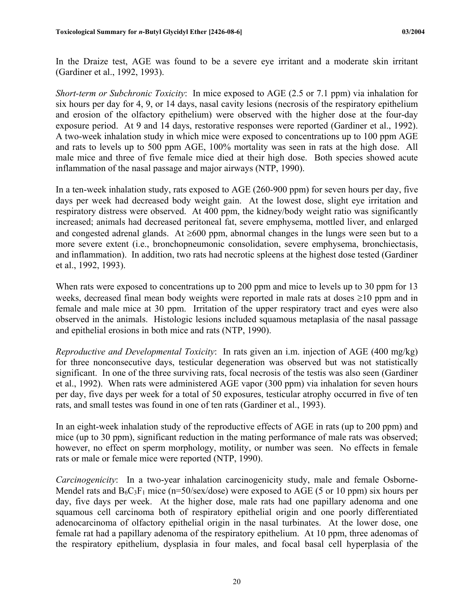In the Draize test, AGE was found to be a severe eye irritant and a moderate skin irritant (Gardiner et al., 1992, 1993).

*Short-term or Subchronic Toxicity*: In mice exposed to AGE (2.5 or 7.1 ppm) via inhalation for six hours per day for 4, 9, or 14 days, nasal cavity lesions (necrosis of the respiratory epithelium and erosion of the olfactory epithelium) were observed with the higher dose at the four-day exposure period. At 9 and 14 days, restorative responses were reported (Gardiner et al., 1992). A two-week inhalation study in which mice were exposed to concentrations up to 100 ppm AGE and rats to levels up to 500 ppm AGE, 100% mortality was seen in rats at the high dose. All male mice and three of five female mice died at their high dose. Both species showed acute inflammation of the nasal passage and major airways (NTP, 1990).

In a ten-week inhalation study, rats exposed to AGE (260-900 ppm) for seven hours per day, five days per week had decreased body weight gain. At the lowest dose, slight eye irritation and respiratory distress were observed. At 400 ppm, the kidney/body weight ratio was significantly increased; animals had decreased peritoneal fat, severe emphysema, mottled liver, and enlarged and congested adrenal glands. At ≥600 ppm, abnormal changes in the lungs were seen but to a more severe extent (i.e., bronchopneumonic consolidation, severe emphysema, bronchiectasis, and inflammation). In addition, two rats had necrotic spleens at the highest dose tested (Gardiner et al., 1992, 1993).

When rats were exposed to concentrations up to 200 ppm and mice to levels up to 30 ppm for 13 weeks, decreased final mean body weights were reported in male rats at doses ≥10 ppm and in female and male mice at 30 ppm. Irritation of the upper respiratory tract and eyes were also observed in the animals. Histologic lesions included squamous metaplasia of the nasal passage and epithelial erosions in both mice and rats (NTP, 1990).

*Reproductive and Developmental Toxicity*: In rats given an i.m. injection of AGE (400 mg/kg) for three nonconsecutive days, testicular degeneration was observed but was not statistically significant. In one of the three surviving rats, focal necrosis of the testis was also seen (Gardiner et al., 1992). When rats were administered AGE vapor (300 ppm) via inhalation for seven hours per day, five days per week for a total of 50 exposures, testicular atrophy occurred in five of ten rats, and small testes was found in one of ten rats (Gardiner et al., 1993).

In an eight-week inhalation study of the reproductive effects of AGE in rats (up to 200 ppm) and mice (up to 30 ppm), significant reduction in the mating performance of male rats was observed; however, no effect on sperm morphology, motility, or number was seen. No effects in female rats or male or female mice were reported (NTP, 1990).

*Carcinogenicity*: In a two-year inhalation carcinogenicity study, male and female Osborne-Mendel rats and  $B_6C_3F_1$  mice (n=50/sex/dose) were exposed to AGE (5 or 10 ppm) six hours per day, five days per week. At the higher dose, male rats had one papillary adenoma and one squamous cell carcinoma both of respiratory epithelial origin and one poorly differentiated adenocarcinoma of olfactory epithelial origin in the nasal turbinates. At the lower dose, one female rat had a papillary adenoma of the respiratory epithelium. At 10 ppm, three adenomas of the respiratory epithelium, dysplasia in four males, and focal basal cell hyperplasia of the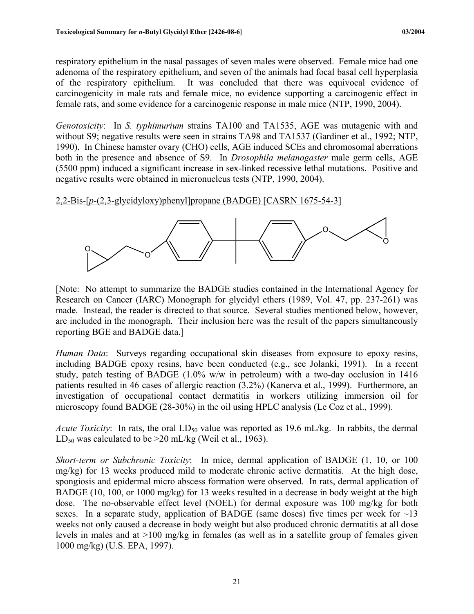respiratory epithelium in the nasal passages of seven males were observed. Female mice had one adenoma of the respiratory epithelium, and seven of the animals had focal basal cell hyperplasia of the respiratory epithelium. It was concluded that there was equivocal evidence of carcinogenicity in male rats and female mice, no evidence supporting a carcinogenic effect in female rats, and some evidence for a carcinogenic response in male mice (NTP, 1990, 2004).

*Genotoxicity*: In *S. typhimurium* strains TA100 and TA1535, AGE was mutagenic with and without S9; negative results were seen in strains TA98 and TA1537 (Gardiner et al., 1992; NTP, 1990). In Chinese hamster ovary (CHO) cells, AGE induced SCEs and chromosomal aberrations both in the presence and absence of S9. In *Drosophila melanogaster* male germ cells, AGE (5500 ppm) induced a significant increase in sex-linked recessive lethal mutations. Positive and negative results were obtained in micronucleus tests (NTP, 1990, 2004).

2,2-Bis-[*p*-(2,3-glycidyloxy)phenyl]propane (BADGE) [CASRN 1675-54-3]



[Note: No attempt to summarize the BADGE studies contained in the International Agency for Research on Cancer (IARC) Monograph for glycidyl ethers (1989, Vol. 47, pp. 237-261) was made. Instead, the reader is directed to that source. Several studies mentioned below, however, are included in the monograph. Their inclusion here was the result of the papers simultaneously reporting BGE and BADGE data.]

*Human Data*: Surveys regarding occupational skin diseases from exposure to epoxy resins, including BADGE epoxy resins, have been conducted (e.g., see Jolanki, 1991). In a recent study, patch testing of BADGE (1.0% w/w in petroleum) with a two-day occlusion in 1416 patients resulted in 46 cases of allergic reaction (3.2%) (Kanerva et al., 1999). Furthermore, an investigation of occupational contact dermatitis in workers utilizing immersion oil for microscopy found BADGE (28-30%) in the oil using HPLC analysis (Le Coz et al., 1999).

*Acute Toxicity*: In rats, the oral  $LD_{50}$  value was reported as 19.6 mL/kg. In rabbits, the dermal  $LD_{50}$  was calculated to be >20 mL/kg (Weil et al., 1963).

*Short-term or Subchronic Toxicity*: In mice, dermal application of BADGE (1, 10, or 100 mg/kg) for 13 weeks produced mild to moderate chronic active dermatitis. At the high dose, spongiosis and epidermal micro abscess formation were observed. In rats, dermal application of BADGE (10, 100, or 1000 mg/kg) for 13 weeks resulted in a decrease in body weight at the high dose. The no-observable effect level (NOEL) for dermal exposure was 100 mg/kg for both sexes. In a separate study, application of BADGE (same doses) five times per week for  $\sim$ 13 weeks not only caused a decrease in body weight but also produced chronic dermatitis at all dose levels in males and at >100 mg/kg in females (as well as in a satellite group of females given 1000 mg/kg) (U.S. EPA, 1997).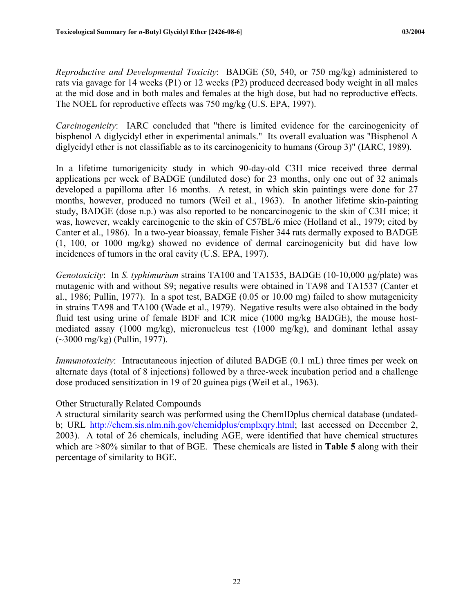*Reproductive and Developmental Toxicity*: BADGE (50, 540, or 750 mg/kg) administered to rats via gavage for 14 weeks (P1) or 12 weeks (P2) produced decreased body weight in all males at the mid dose and in both males and females at the high dose, but had no reproductive effects. The NOEL for reproductive effects was 750 mg/kg (U.S. EPA, 1997).

*Carcinogenicity*: IARC concluded that "there is limited evidence for the carcinogenicity of bisphenol A diglycidyl ether in experimental animals." Its overall evaluation was "Bisphenol A diglycidyl ether is not classifiable as to its carcinogenicity to humans (Group 3)" (IARC, 1989).

In a lifetime tumorigenicity study in which 90-day-old C3H mice received three dermal applications per week of BADGE (undiluted dose) for 23 months, only one out of 32 animals developed a papilloma after 16 months. A retest, in which skin paintings were done for 27 months, however, produced no tumors (Weil et al., 1963). In another lifetime skin-painting study, BADGE (dose n.p.) was also reported to be noncarcinogenic to the skin of C3H mice; it was, however, weakly carcinogenic to the skin of C57BL/6 mice (Holland et al., 1979; cited by Canter et al., 1986). In a two-year bioassay, female Fisher 344 rats dermally exposed to BADGE (1, 100, or 1000 mg/kg) showed no evidence of dermal carcinogenicity but did have low incidences of tumors in the oral cavity (U.S. EPA, 1997).

*Genotoxicity*: In *S. typhimurium* strains TA100 and TA1535, BADGE (10-10,000 µg/plate) was mutagenic with and without S9; negative results were obtained in TA98 and TA1537 (Canter et al., 1986; Pullin, 1977). In a spot test, BADGE (0.05 or 10.00 mg) failed to show mutagenicity in strains TA98 and TA100 (Wade et al., 1979). Negative results were also obtained in the body fluid test using urine of female BDF and ICR mice (1000 mg/kg BADGE), the mouse hostmediated assay (1000 mg/kg), micronucleus test (1000 mg/kg), and dominant lethal assay (~3000 mg/kg) (Pullin, 1977).

*Immunotoxicity*: Intracutaneous injection of diluted BADGE (0.1 mL) three times per week on alternate days (total of 8 injections) followed by a three-week incubation period and a challenge dose produced sensitization in 19 of 20 guinea pigs (Weil et al., 1963).

#### Other Structurally Related Compounds

A structural similarity search was performed using the ChemIDplus chemical database (undatedb; URL [http://chem.sis.nlm.nih.gov/chemidplus/cmplxqry.html;](http://chem.sis.nlm.nih.gov/chemidplus/cmplxqry.html) last accessed on December 2, 2003). A total of 26 chemicals, including AGE, were identified that have chemical structures which are >80% similar to that of BGE. These chemicals are listed in **Table 5** along with their percentage of similarity to BGE.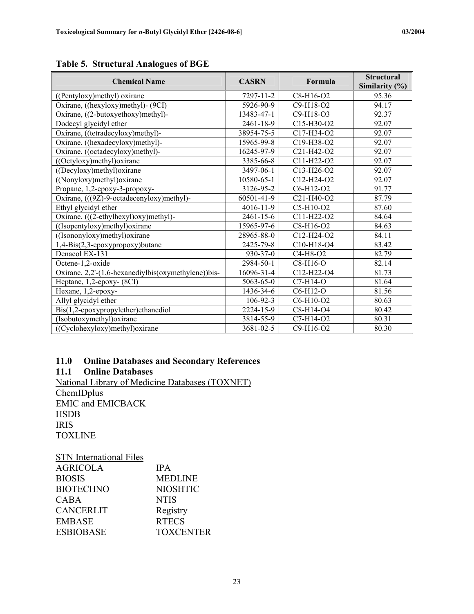| <b>Chemical Name</b>                                | <b>CASRN</b>    | Formula                                          | <b>Structural</b><br>Similarity $(\% )$ |
|-----------------------------------------------------|-----------------|--------------------------------------------------|-----------------------------------------|
| ((Pentyloxy)methyl) oxirane                         | 7297-11-2       | C8-H16-O2                                        | 95.36                                   |
| Oxirane, ((hexyloxy)methyl)- (9CI)                  | 5926-90-9       | C9-H18-O2                                        | 94.17                                   |
| Oxirane, ((2-butoxyethoxy)methyl)-                  | 13483-47-1      | $C9 - H18 - O3$                                  | 92.37                                   |
| Dodecyl glycidyl ether                              | 2461-18-9       | C15-H30-O2                                       | 92.07                                   |
| Oxirane, ((tetradecyloxy)methyl)-                   | 38954-75-5      | C17-H34-O2                                       | 92.07                                   |
| Oxirane, ((hexadecyloxy)methyl)-                    | 15965-99-8      | $C19-H38-O2$                                     | 92.07                                   |
| Oxirane, ((octadecyloxy)methyl)-                    | 16245-97-9      | C21-H42-O2                                       | 92.07                                   |
| ((Octyloxy)methyl) oxirane                          | 3385-66-8       | C11-H22-O2                                       | 92.07                                   |
| $((\text{Decylov})$ methyl $)\text{oxirane}$        | 3497-06-1       | $C13-H26-O2$                                     | 92.07                                   |
| ((Nonyloxy)methyl) oxirane                          | 10580-65-1      | C12-H24-O2                                       | 92.07                                   |
| Propane, 1,2-epoxy-3-propoxy-                       | 3126-95-2       | C6-H12-O2                                        | 91.77                                   |
| Oxirane, (((9Z)-9-octadecenyloxy)methyl)-           | 60501-41-9      | C <sub>21</sub> -H <sub>40</sub> -O <sub>2</sub> | 87.79                                   |
| Ethyl glycidyl ether                                | 4016-11-9       | C5-H10-O2                                        | 87.60                                   |
| Oxirane, (((2-ethylhexyl)oxy)methyl)-               | 2461-15-6       | C11-H22-O2                                       | 84.64                                   |
| $((Isopentyloxy)$ methyl $)$ oxirane                | 15965-97-6      | $C8-H16-O2$                                      | 84.63                                   |
| ((Isononyloxy)methyl)oxirane                        | 28965-88-0      | $C12-H24-O2$                                     | 84.11                                   |
| 1,4-Bis(2,3-epoxypropoxy)butane                     | 2425-79-8       | C10-H18-O4                                       | 83.42                                   |
| Denacol EX-131                                      | $930 - 37 - 0$  | $C4-H8-O2$                                       | 82.79                                   |
| Octene-1,2-oxide                                    | 2984-50-1       | $C8-H16-O$                                       | 82.14                                   |
| Oxirane, 2,2'-(1,6-hexanediylbis(oxymethylene))bis- | 16096-31-4      | C <sub>12</sub> -H <sub>22</sub> -O <sub>4</sub> | 81.73                                   |
| Heptane, $1,2$ -epoxy- $(8CI)$                      | $5063 - 65 - 0$ | $C7-H14-O$                                       | 81.64                                   |
| Hexane, 1,2-epoxy-                                  | 1436-34-6       | C6-H12-O                                         | 81.56                                   |
| Allyl glycidyl ether                                | $106 - 92 - 3$  | C6-H10-O2                                        | 80.63                                   |
| $Bis(1,2-\epsilon poxy propylether)$ ethanediol     | 2224-15-9       | C8-H14-O4                                        | 80.42                                   |
| (Isobutoxymethyl) oxirane                           | 3814-55-9       | C7-H14-O2                                        | 80.31                                   |
| ((Cyclohexyloxy)methyl)oxirane                      | 3681-02-5       | C9-H16-O2                                        | 80.30                                   |

<span id="page-32-0"></span>**Table 5. Structural Analogues of BGE** 

# **11.0 Online Databases and Secondary References**

## **Online Databases**

National Library of Medicine Databases (TOXNET) **ChemIDplus** EMIC and EMICBACK **HSDB** IRIS TOXLINE

| <b>STN</b> International Files |                  |
|--------------------------------|------------------|
| <b>AGRICOLA</b>                | <b>IPA</b>       |
| <b>BIOSIS</b>                  | <b>MEDLINE</b>   |
| <b>BIOTECHNO</b>               | <b>NIOSHTIC</b>  |
| <b>CABA</b>                    | <b>NTIS</b>      |
| <b>CANCERLIT</b>               | Registry         |
| <b>EMBASE</b>                  | <b>RTECS</b>     |
| <b>ESBIOBASE</b>               | <b>TOXCENTER</b> |
|                                |                  |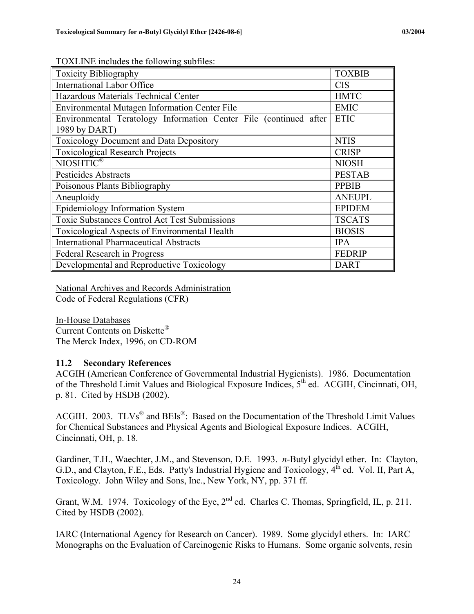| <b>Toxicity Bibliography</b>                                                       | <b>TOXBIB</b> |
|------------------------------------------------------------------------------------|---------------|
| <b>International Labor Office</b>                                                  | <b>CIS</b>    |
| Hazardous Materials Technical Center                                               | <b>HMTC</b>   |
| Environmental Mutagen Information Center File                                      | <b>EMIC</b>   |
| Environmental Teratology Information Center File (continued after<br>1989 by DART) | <b>ETIC</b>   |
| <b>Toxicology Document and Data Depository</b>                                     | <b>NTIS</b>   |
| <b>Toxicological Research Projects</b>                                             | <b>CRISP</b>  |
| NIOSHTIC®                                                                          | <b>NIOSH</b>  |
| Pesticides Abstracts                                                               | <b>PESTAB</b> |
| Poisonous Plants Bibliography                                                      | <b>PPBIB</b>  |
| Aneuploidy                                                                         | <b>ANEUPL</b> |
| Epidemiology Information System                                                    | <b>EPIDEM</b> |
| <b>Toxic Substances Control Act Test Submissions</b>                               | <b>TSCATS</b> |
| Toxicological Aspects of Environmental Health                                      | <b>BIOSIS</b> |
| <b>International Pharmaceutical Abstracts</b>                                      | <b>IPA</b>    |
| Federal Research in Progress                                                       | <b>FEDRIP</b> |
| Developmental and Reproductive Toxicology                                          | <b>DART</b>   |

<span id="page-33-0"></span>TOXLINE includes the following subfiles:

National Archives and Records Administration Code of Federal Regulations (CFR)

In-House Databases Current Contents on Diskette® The Merck Index, 1996, on CD-ROM

#### **11.2 Secondary References**

ACGIH (American Conference of Governmental Industrial Hygienists). 1986. Documentation of the Threshold Limit Values and Biological Exposure Indices,  $5<sup>th</sup>$  ed. ACGIH, Cincinnati, OH, p. 81. Cited by HSDB (2002).

ACGIH. 2003.  $TLVs^{\circledR}$  and  $B Els^{\circledR}$ : Based on the Documentation of the Threshold Limit Values for Chemical Substances and Physical Agents and Biological Exposure Indices. ACGIH, Cincinnati, OH, p. 18.

Gardiner, T.H., Waechter, J.M., and Stevenson, D.E. 1993. *n*-Butyl glycidyl ether. In: Clayton, G.D., and Clayton, F.E., Eds. Patty's Industrial Hygiene and Toxicology, 4<sup>th</sup> ed. Vol. II, Part A, Toxicology. John Wiley and Sons, Inc., New York, NY, pp. 371 ff.

Grant, W.M. 1974. Toxicology of the Eye, 2<sup>nd</sup> ed. Charles C. Thomas, Springfield, IL, p. 211. Cited by HSDB (2002).

IARC (International Agency for Research on Cancer). 1989. Some glycidyl ethers. In: IARC Monographs on the Evaluation of Carcinogenic Risks to Humans. Some organic solvents, resin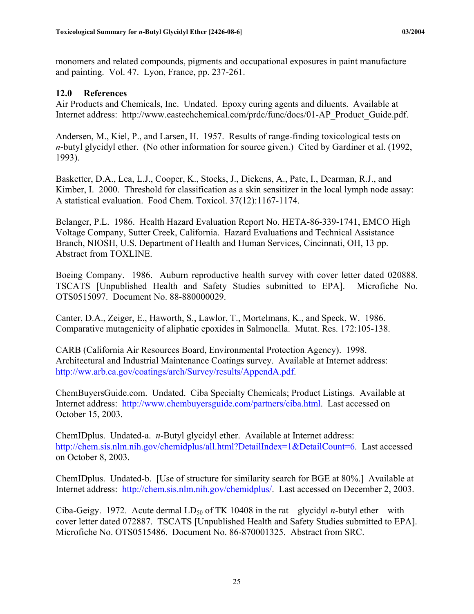<span id="page-34-0"></span>monomers and related compounds, pigments and occupational exposures in paint manufacture and painting. Vol. 47. Lyon, France, pp. 237-261.

## **12.0 References**

Air Products and Chemicals, Inc. Undated. Epoxy curing agents and diluents. Available at Internet address: http://www.eastechchemical.com/prdc/func/docs/01-AP\_Product\_Guide.pdf.

Andersen, M., Kiel, P., and Larsen, H. 1957. Results of range-finding toxicological tests on *n*-butyl glycidyl ether. (No other information for source given.) Cited by Gardiner et al. (1992, 1993).

Basketter, D.A., Lea, L.J., Cooper, K., Stocks, J., Dickens, A., Pate, I., Dearman, R.J., and Kimber, I. 2000. Threshold for classification as a skin sensitizer in the local lymph node assay: A statistical evaluation. Food Chem. Toxicol. 37(12):1167-1174.

Belanger, P.L. 1986. Health Hazard Evaluation Report No. HETA-86-339-1741, EMCO High Voltage Company, Sutter Creek, California. Hazard Evaluations and Technical Assistance Branch, NIOSH, U.S. Department of Health and Human Services, Cincinnati, OH, 13 pp. Abstract from TOXLINE.

Boeing Company. 1986. Auburn reproductive health survey with cover letter dated 020888. TSCATS [Unpublished Health and Safety Studies submitted to EPA]. Microfiche No. OTS0515097. Document No. 88-880000029.

Canter, D.A., Zeiger, E., Haworth, S., Lawlor, T., Mortelmans, K., and Speck, W. 1986. Comparative mutagenicity of aliphatic epoxides in Salmonella. Mutat. Res. 172:105-138.

CARB (California Air Resources Board, Environmental Protection Agency). 1998. Architectural and Industrial Maintenance Coatings survey. Available at Internet address: http://[ww.arb.ca.gov/coatings/arch/Survey/results/AppendA.pdf.](http://www.arb.ca.gov/coatings/arch/Survey/results/AppendA.pdf)

ChemBuyersGuide.com. Undated. Ciba Specialty Chemicals; Product Listings. Available at Internet address: <http://www.chembuyersguide.com/partners/ciba.html>. Last accessed on October 15, 2003.

ChemIDplus. Undated-a. *n*-Butyl glycidyl ether. Available at Internet address: <http://chem.sis.nlm.nih.gov/chemidplus/all.html?DetailIndex=1&DetailCount=6>. Last accessed on October 8, 2003.

ChemIDplus. Undated-b. [Use of structure for similarity search for BGE at 80%.] Available at Internet address: <http://chem.sis.nlm.nih.gov/chemidplus/>. Last accessed on December 2, 2003.

Ciba-Geigy. 1972. Acute dermal  $LD_{50}$  of TK 10408 in the rat—glycidyl *n*-butyl ether—with cover letter dated 072887. TSCATS [Unpublished Health and Safety Studies submitted to EPA]. Microfiche No. OTS0515486. Document No. 86-870001325. Abstract from SRC.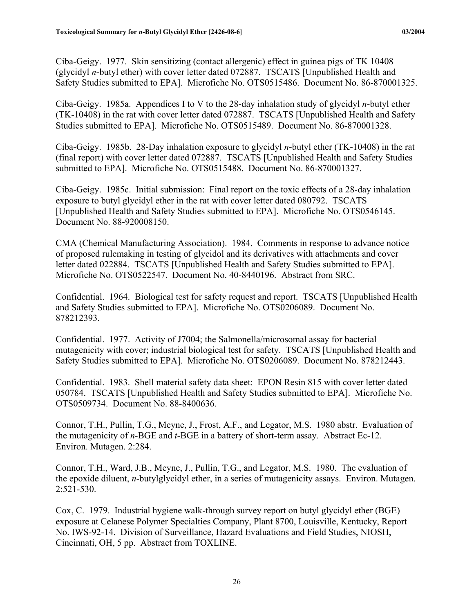Ciba-Geigy. 1977. Skin sensitizing (contact allergenic) effect in guinea pigs of TK 10408 (glycidyl *n*-butyl ether) with cover letter dated 072887. TSCATS [Unpublished Health and Safety Studies submitted to EPA]. Microfiche No. OTS0515486. Document No. 86-870001325.

Ciba-Geigy. 1985a. Appendices I to V to the 28-day inhalation study of glycidyl *n*-butyl ether (TK-10408) in the rat with cover letter dated 072887. TSCATS [Unpublished Health and Safety Studies submitted to EPA]. Microfiche No. OTS0515489. Document No. 86-870001328.

Ciba-Geigy. 1985b. 28-Day inhalation exposure to glycidyl *n*-butyl ether (TK-10408) in the rat (final report) with cover letter dated 072887. TSCATS [Unpublished Health and Safety Studies submitted to EPA]. Microfiche No. OTS0515488. Document No. 86-870001327.

Ciba-Geigy. 1985c. Initial submission: Final report on the toxic effects of a 28-day inhalation exposure to butyl glycidyl ether in the rat with cover letter dated 080792. TSCATS [Unpublished Health and Safety Studies submitted to EPA]. Microfiche No. OTS0546145. Document No. 88-920008150.

CMA (Chemical Manufacturing Association). 1984. Comments in response to advance notice of proposed rulemaking in testing of glycidol and its derivatives with attachments and cover letter dated 022884. TSCATS [Unpublished Health and Safety Studies submitted to EPA]. Microfiche No. OTS0522547. Document No. 40-8440196. Abstract from SRC.

Confidential. 1964. Biological test for safety request and report. TSCATS [Unpublished Health and Safety Studies submitted to EPA]. Microfiche No. OTS0206089. Document No. 878212393.

Confidential. 1977. Activity of J7004; the Salmonella/microsomal assay for bacterial mutagenicity with cover; industrial biological test for safety. TSCATS [Unpublished Health and Safety Studies submitted to EPA]. Microfiche No. OTS0206089. Document No. 878212443.

Confidential. 1983. Shell material safety data sheet: EPON Resin 815 with cover letter dated 050784. TSCATS [Unpublished Health and Safety Studies submitted to EPA]. Microfiche No. OTS0509734. Document No. 88-8400636.

Connor, T.H., Pullin, T.G., Meyne, J., Frost, A.F., and Legator, M.S. 1980 abstr. Evaluation of the mutagenicity of *n*-BGE and *t*-BGE in a battery of short-term assay. Abstract Ec-12. Environ. Mutagen. 2:284.

Connor, T.H., Ward, J.B., Meyne, J., Pullin, T.G., and Legator, M.S. 1980. The evaluation of the epoxide diluent, *n*-butylglycidyl ether, in a series of mutagenicity assays. Environ. Mutagen. 2:521-530.

Cox, C. 1979. Industrial hygiene walk-through survey report on butyl glycidyl ether (BGE) exposure at Celanese Polymer Specialties Company, Plant 8700, Louisville, Kentucky, Report No. IWS-92-14. Division of Surveillance, Hazard Evaluations and Field Studies, NIOSH, Cincinnati, OH, 5 pp. Abstract from TOXLINE.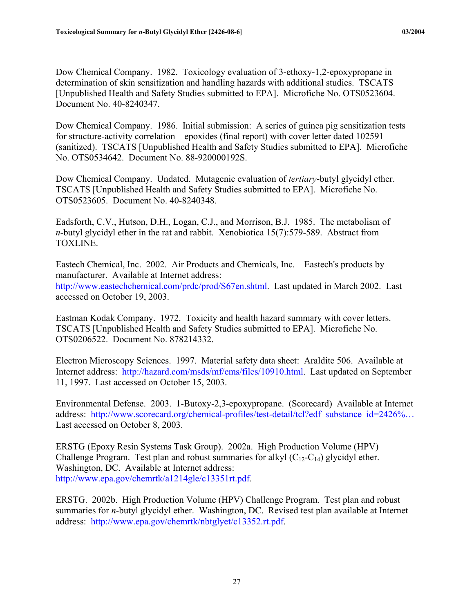Dow Chemical Company. 1982. Toxicology evaluation of 3-ethoxy-1,2-epoxypropane in determination of skin sensitization and handling hazards with additional studies. TSCATS [Unpublished Health and Safety Studies submitted to EPA]. Microfiche No. OTS0523604. Document No. 40-8240347.

Dow Chemical Company. 1986. Initial submission: A series of guinea pig sensitization tests for structure-activity correlation—epoxides (final report) with cover letter dated 102591 (sanitized). TSCATS [Unpublished Health and Safety Studies submitted to EPA]. Microfiche No. OTS0534642. Document No. 88-920000192S.

Dow Chemical Company. Undated. Mutagenic evaluation of *tertiary*-butyl glycidyl ether. TSCATS [Unpublished Health and Safety Studies submitted to EPA]. Microfiche No. OTS0523605. Document No. 40-8240348.

Eadsforth, C.V., Hutson, D.H., Logan, C.J., and Morrison, B.J. 1985. The metabolism of *n*-butyl glycidyl ether in the rat and rabbit. Xenobiotica 15(7):579-589. Abstract from TOXLINE.

Eastech Chemical, Inc. 2002. Air Products and Chemicals, Inc.—Eastech's products by manufacturer. Available at Internet address: <http://www.eastechchemical.com/prdc/prod/S67en.shtml>. Last updated in March 2002. Last accessed on October 19, 2003.

Eastman Kodak Company. 1972. Toxicity and health hazard summary with cover letters. TSCATS [Unpublished Health and Safety Studies submitted to EPA]. Microfiche No. OTS0206522. Document No. 878214332.

Electron Microscopy Sciences. 1997. Material safety data sheet: Araldite 506. Available at Internet address: [http://hazard.com/msds/mf/ems/files/10910.html.](http://hazard.com/msds/mf/ems/files/10910.html) Last updated on September 11, 1997. Last accessed on October 15, 2003.

Environmental Defense. 2003. 1-Butoxy-2,3-epoxypropane. (Scorecard) Available at Internet address: http://www.scorecard.org/chemical-profiles/test-detail/tcl?edf\_substance\_id=2426%… Last accessed on October 8, 2003.

ERSTG (Epoxy Resin Systems Task Group). 2002a. High Production Volume (HPV) Challenge Program. Test plan and robust summaries for alkyl  $(C_{12}-C_{14})$  glycidyl ether. Washington, DC. Available at Internet address: [http://www.epa.gov/chemrtk/a1214gle/c13351rt.pdf.](http://www.epa.gov/chemrtk/a1214gle/c13351rt.pdf)

ERSTG. 2002b. High Production Volume (HPV) Challenge Program. Test plan and robust summaries for *n*-butyl glycidyl ether. Washington, DC. Revised test plan available at Internet address: <http://www.epa.gov/chemrtk/nbtglyet/c13352.rt.pdf>.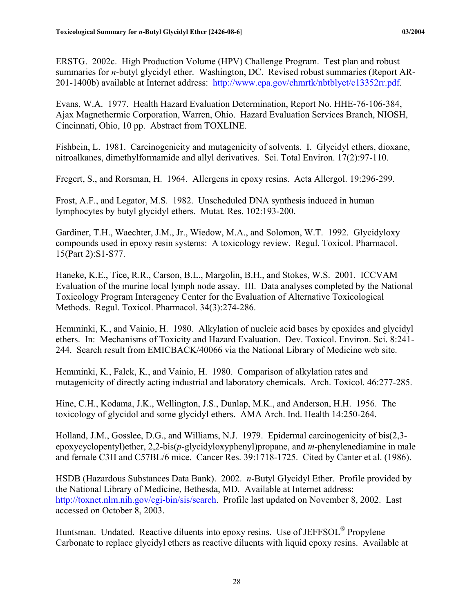ERSTG. 2002c. High Production Volume (HPV) Challenge Program. Test plan and robust summaries for *n*-butyl glycidyl ether. Washington, DC. Revised robust summaries (Report AR-201-1400b) available at Internet address: <http://www.epa.gov/chmrtk/nbtblyet/c13352rr.pdf>.

Evans, W.A. 1977. Health Hazard Evaluation Determination, Report No. HHE-76-106-384, Ajax Magnethermic Corporation, Warren, Ohio. Hazard Evaluation Services Branch, NIOSH, Cincinnati, Ohio, 10 pp. Abstract from TOXLINE.

Fishbein, L. 1981. Carcinogenicity and mutagenicity of solvents. I. Glycidyl ethers, dioxane, nitroalkanes, dimethylformamide and allyl derivatives. Sci. Total Environ. 17(2):97-110.

Fregert, S., and Rorsman, H. 1964. Allergens in epoxy resins. Acta Allergol. 19:296-299.

Frost, A.F., and Legator, M.S. 1982. Unscheduled DNA synthesis induced in human lymphocytes by butyl glycidyl ethers. Mutat. Res. 102:193-200.

Gardiner, T.H., Waechter, J.M., Jr., Wiedow, M.A., and Solomon, W.T. 1992. Glycidyloxy compounds used in epoxy resin systems: A toxicology review. Regul. Toxicol. Pharmacol. 15(Part 2):S1-S77.

Haneke, K.E., Tice, R.R., Carson, B.L., Margolin, B.H., and Stokes, W.S. 2001. ICCVAM Evaluation of the murine local lymph node assay. III. Data analyses completed by the National Toxicology Program Interagency Center for the Evaluation of Alternative Toxicological Methods. Regul. Toxicol. Pharmacol. 34(3):274-286.

Hemminki, K., and Vainio, H. 1980. Alkylation of nucleic acid bases by epoxides and glycidyl ethers. In: Mechanisms of Toxicity and Hazard Evaluation. Dev. Toxicol. Environ. Sci. 8:241- 244. Search result from EMICBACK/40066 via the National Library of Medicine web site.

Hemminki, K., Falck, K., and Vainio, H. 1980. Comparison of alkylation rates and mutagenicity of directly acting industrial and laboratory chemicals. Arch. Toxicol. 46:277-285.

Hine, C.H., Kodama, J.K., Wellington, J.S., Dunlap, M.K., and Anderson, H.H. 1956. The toxicology of glycidol and some glycidyl ethers. AMA Arch. Ind. Health 14:250-264.

Holland, J.M., Gosslee, D.G., and Williams, N.J. 1979. Epidermal carcinogenicity of bis(2,3 epoxycyclopentyl)ether, 2,2-bis(*p*-glycidyloxyphenyl)propane, and *m*-phenylenediamine in male and female C3H and C57BL/6 mice. Cancer Res. 39:1718-1725. Cited by Canter et al. (1986).

HSDB (Hazardous Substances Data Bank). 2002. *n*-Butyl Glycidyl Ether. Profile provided by the National Library of Medicine, Bethesda, MD. Available at Internet address: <http://toxnet.nlm.nih.gov/cgi-bin/sis/search>. Profile last updated on November 8, 2002. Last accessed on October 8, 2003.

Huntsman. Undated. Reactive diluents into epoxy resins. Use of JEFFSOL<sup>®</sup> Propylene Carbonate to replace glycidyl ethers as reactive diluents with liquid epoxy resins. Available at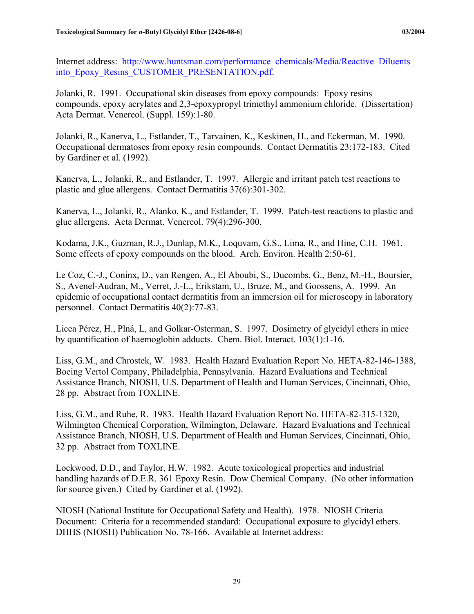Internet address: [http://www.huntsman.com/performance\\_chemicals/Media/Reactive\\_Diluents\\_](http:///www.huntsman.com/performance_chemicals/Media/Reactive_Diluents_ into_Epoxy_Resins_CUSTOMER_PRESENTATION.pdf)  into Epoxy Resins CUSTOMER PRESENTATION.pdf.

Jolanki, R. 1991. Occupational skin diseases from epoxy compounds: Epoxy resins compounds, epoxy acrylates and 2,3-epoxypropyl trimethyl ammonium chloride. (Dissertation) Acta Dermat. Venereol. (Suppl. 159):1-80.

Jolanki, R., Kanerva, L., Estlander, T., Tarvainen, K., Keskinen, H., and Eckerman, M. 1990. Occupational dermatoses from epoxy resin compounds. Contact Dermatitis 23:172-183. Cited by Gardiner et al. (1992).

Kanerva, L., Jolanki, R., and Estlander, T. 1997. Allergic and irritant patch test reactions to plastic and glue allergens. Contact Dermatitis 37(6):301-302.

Kanerva, L., Jolanki, R., Alanko, K., and Estlander, T. 1999. Patch-test reactions to plastic and glue allergens. Acta Dermat. Venereol. 79(4):296-300.

Kodama, J.K., Guzman, R.J., Dunlap, M.K., Loquvam, G.S., Lima, R., and Hine, C.H. 1961. Some effects of epoxy compounds on the blood. Arch. Environ. Health 2:50-61.

Le Coz, C.-J., Coninx, D., van Rengen, A., El Aboubi, S., Ducombs, G., Benz, M.-H., Boursier, S., Avenel-Audran, M., Verret, J.-L., Erikstam, U., Bruze, M., and Goossens, A. 1999. An epidemic of occupational contact dermatitis from an immersion oil for microscopy in laboratory personnel. Contact Dermatitis 40(2):77-83.

Licea Pérez, H., Plná, L, and Golkar-Osterman, S. 1997. Dosimetry of glycidyl ethers in mice by quantification of haemoglobin adducts. Chem. Biol. Interact. 103(1):1-16.

Liss, G.M., and Chrostek, W. 1983. Health Hazard Evaluation Report No. HETA-82-146-1388, Boeing Vertol Company, Philadelphia, Pennsylvania. Hazard Evaluations and Technical Assistance Branch, NIOSH, U.S. Department of Health and Human Services, Cincinnati, Ohio, 28 pp. Abstract from TOXLINE.

Liss, G.M., and Ruhe, R. 1983. Health Hazard Evaluation Report No. HETA-82-315-1320, Wilmington Chemical Corporation, Wilmington, Delaware. Hazard Evaluations and Technical Assistance Branch, NIOSH, U.S. Department of Health and Human Services, Cincinnati, Ohio, 32 pp. Abstract from TOXLINE.

Lockwood, D.D., and Taylor, H.W. 1982. Acute toxicological properties and industrial handling hazards of D.E.R. 361 Epoxy Resin. Dow Chemical Company. (No other information for source given.) Cited by Gardiner et al. (1992).

NIOSH (National Institute for Occupational Safety and Health). 1978. NIOSH Criteria Document: Criteria for a recommended standard: Occupational exposure to glycidyl ethers. DHHS (NIOSH) Publication No. 78-166. Available at Internet address: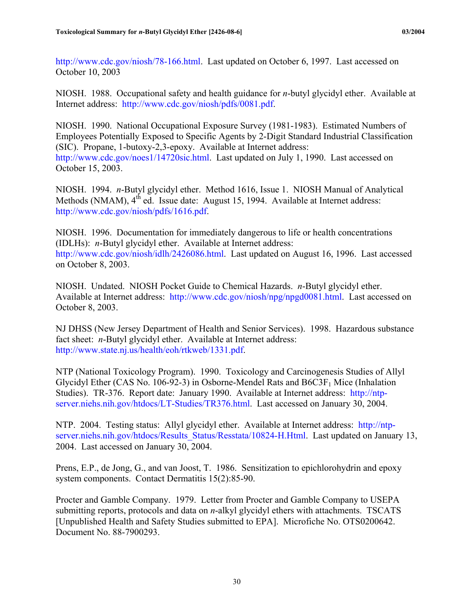<http://www.cdc.gov/niosh/78-166.html>. Last updated on October 6, 1997. Last accessed on October 10, 2003

NIOSH. 1988. Occupational safety and health guidance for *n*-butyl glycidyl ether. Available at Internet address: [http://www.cdc.gov/niosh/pdfs/0081.pdf.](http://www.cdc.gov/niosh/pdfs/0081.pdf)

NIOSH. 1990. National Occupational Exposure Survey (1981-1983). Estimated Numbers of Employees Potentially Exposed to Specific Agents by 2-Digit Standard Industrial Classification (SIC). Propane, 1-butoxy-2,3-epoxy. Available at Internet address: <http://www.cdc.gov/noes1/14720sic.html>. Last updated on July 1, 1990. Last accessed on October 15, 2003.

NIOSH. 1994. *n*-Butyl glycidyl ether. Method 1616, Issue 1. NIOSH Manual of Analytical Methods (NMAM), 4<sup>th</sup> ed. Issue date: August 15, 1994. Available at Internet address: <http://www.cdc.gov/niosh/pdfs/1616.pdf>.

NIOSH. 1996. Documentation for immediately dangerous to life or health concentrations (IDLHs): *n*-Butyl glycidyl ether. Available at Internet address: <http://www.cdc.gov/niosh/idlh/2426086.html>. Last updated on August 16, 1996. Last accessed on October 8, 2003.

NIOSH. Undated. NIOSH Pocket Guide to Chemical Hazards. *n*-Butyl glycidyl ether. Available at Internet address: [http://www.cdc.gov/niosh/npg/npgd0081.html.](http://www.cdc.gov/niosh/npg/npgd0081.html) Last accessed on October 8, 2003.

NJ DHSS (New Jersey Department of Health and Senior Services). 1998. Hazardous substance fact sheet: *n*-Butyl glycidyl ether. Available at Internet address: <http://www.state.nj.us/health/eoh/rtkweb/1331.pdf>.

NTP (National Toxicology Program). 1990. Toxicology and Carcinogenesis Studies of Allyl Glycidyl Ether (CAS No. 106-92-3) in Osborne-Mendel Rats and  $B6C3F<sub>1</sub>$  Mice (Inhalation Studies). TR-376. Report date: January 1990. Available at Internet address: [http://ntp](http://ntp-server.niehs.nih.gov/htdocs/LT-Studies/TR376.html)[server.niehs.nih.gov/htdocs/LT-Studies/TR376.html.](http://ntp-server.niehs.nih.gov/htdocs/LT-Studies/TR376.html) Last accessed on January 30, 2004.

NTP. 2004. Testing status: Allyl glycidyl ether. Available at Internet address: [http://ntp](http://ntp-server.niehs.nih.gov/htdocs/Results_Status/Resstata/10824-H.Html)[server.niehs.nih.gov/htdocs/Results\\_Status/Resstata/10824-H.Html](http://ntp-server.niehs.nih.gov/htdocs/Results_Status/Resstata/10824-H.Html). Last updated on January 13, 2004. Last accessed on January 30, 2004.

Prens, E.P., de Jong, G., and van Joost, T. 1986. Sensitization to epichlorohydrin and epoxy system components. Contact Dermatitis 15(2):85-90.

Procter and Gamble Company. 1979. Letter from Procter and Gamble Company to USEPA submitting reports, protocols and data on *n*-alkyl glycidyl ethers with attachments. TSCATS [Unpublished Health and Safety Studies submitted to EPA]. Microfiche No. OTS0200642. Document No. 88-7900293.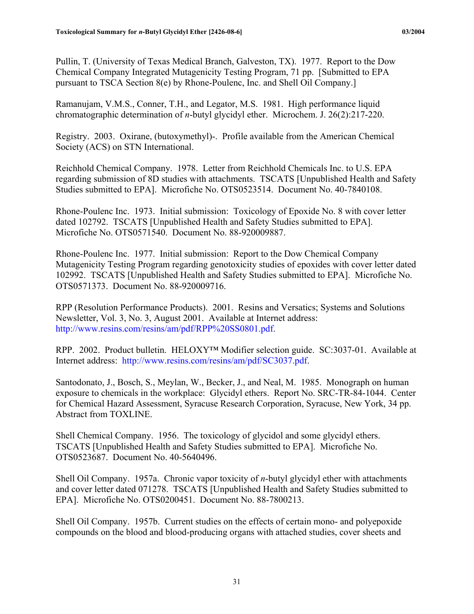Pullin, T. (University of Texas Medical Branch, Galveston, TX). 1977. Report to the Dow Chemical Company Integrated Mutagenicity Testing Program, 71 pp. [Submitted to EPA pursuant to TSCA Section 8(e) by Rhone-Poulenc, Inc. and Shell Oil Company.]

Ramanujam, V.M.S., Conner, T.H., and Legator, M.S. 1981. High performance liquid chromatographic determination of *n*-butyl glycidyl ether. Microchem. J. 26(2):217-220.

Registry. 2003. Oxirane, (butoxymethyl)-. Profile available from the American Chemical Society (ACS) on STN International.

Reichhold Chemical Company. 1978. Letter from Reichhold Chemicals Inc. to U.S. EPA regarding submission of 8D studies with attachments. TSCATS [Unpublished Health and Safety Studies submitted to EPA]. Microfiche No. OTS0523514. Document No. 40-7840108.

Rhone-Poulenc Inc. 1973. Initial submission: Toxicology of Epoxide No. 8 with cover letter dated 102792. TSCATS [Unpublished Health and Safety Studies submitted to EPA]. Microfiche No. OTS0571540. Document No. 88-920009887.

Rhone-Poulenc Inc. 1977. Initial submission: Report to the Dow Chemical Company Mutagenicity Testing Program regarding genotoxicity studies of epoxides with cover letter dated 102992. TSCATS [Unpublished Health and Safety Studies submitted to EPA]. Microfiche No. OTS0571373. Document No. 88-920009716.

RPP (Resolution Performance Products). 2001. Resins and Versatics; Systems and Solutions Newsletter, Vol. 3, No. 3, August 2001. Available at Internet address: [http://www.resins.com/resins/am/pdf/RPP%20SS0801.pdf](http://www.resins.com/resins/am/pdf/RPP SS0801.pdf).

RPP. 2002. Product bulletin. HELOXY™ Modifier selection guide. SC:3037-01. Available at Internet address: [http://www.resins.com/resins/am/pdf/SC3037.pdf.](http://www.resins.com/resins/am/pdf/SC3037.pdf)

Santodonato, J., Bosch, S., Meylan, W., Becker, J., and Neal, M. 1985. Monograph on human exposure to chemicals in the workplace: Glycidyl ethers. Report No. SRC-TR-84-1044. Center for Chemical Hazard Assessment, Syracuse Research Corporation, Syracuse, New York, 34 pp. Abstract from TOXLINE.

Shell Chemical Company. 1956. The toxicology of glycidol and some glycidyl ethers. TSCATS [Unpublished Health and Safety Studies submitted to EPA]. Microfiche No. OTS0523687. Document No. 40-5640496.

Shell Oil Company. 1957a. Chronic vapor toxicity of *n*-butyl glycidyl ether with attachments and cover letter dated 071278. TSCATS [Unpublished Health and Safety Studies submitted to EPA]. Microfiche No. OTS0200451. Document No. 88-7800213.

Shell Oil Company. 1957b. Current studies on the effects of certain mono- and polyepoxide compounds on the blood and blood-producing organs with attached studies, cover sheets and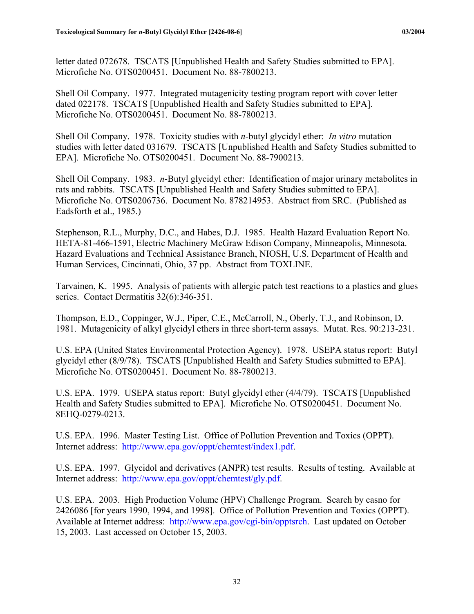letter dated 072678. TSCATS [Unpublished Health and Safety Studies submitted to EPA]. Microfiche No. OTS0200451. Document No. 88-7800213.

Shell Oil Company. 1977. Integrated mutagenicity testing program report with cover letter dated 022178. TSCATS [Unpublished Health and Safety Studies submitted to EPA]. Microfiche No. OTS0200451. Document No. 88-7800213.

Shell Oil Company. 1978. Toxicity studies with *n*-butyl glycidyl ether: *In vitro* mutation studies with letter dated 031679. TSCATS [Unpublished Health and Safety Studies submitted to EPA]. Microfiche No. OTS0200451. Document No. 88-7900213.

Shell Oil Company. 1983. *n*-Butyl glycidyl ether: Identification of major urinary metabolites in rats and rabbits. TSCATS [Unpublished Health and Safety Studies submitted to EPA]. Microfiche No. OTS0206736. Document No. 878214953. Abstract from SRC. (Published as Eadsforth et al., 1985.)

Stephenson, R.L., Murphy, D.C., and Habes, D.J. 1985. Health Hazard Evaluation Report No. HETA-81-466-1591, Electric Machinery McGraw Edison Company, Minneapolis, Minnesota. Hazard Evaluations and Technical Assistance Branch, NIOSH, U.S. Department of Health and Human Services, Cincinnati, Ohio, 37 pp. Abstract from TOXLINE.

Tarvainen, K. 1995. Analysis of patients with allergic patch test reactions to a plastics and glues series. Contact Dermatitis 32(6):346-351.

Thompson, E.D., Coppinger, W.J., Piper, C.E., McCarroll, N., Oberly, T.J., and Robinson, D. 1981. Mutagenicity of alkyl glycidyl ethers in three short-term assays. Mutat. Res. 90:213-231.

U.S. EPA (United States Environmental Protection Agency). 1978. USEPA status report: Butyl glycidyl ether (8/9/78). TSCATS [Unpublished Health and Safety Studies submitted to EPA]. Microfiche No. OTS0200451. Document No. 88-7800213.

U.S. EPA. 1979. USEPA status report: Butyl glycidyl ether (4/4/79). TSCATS [Unpublished Health and Safety Studies submitted to EPA]. Microfiche No. OTS0200451. Document No. 8EHQ-0279-0213.

U.S. EPA. 1996. Master Testing List. Office of Pollution Prevention and Toxics (OPPT). Internet address: <http://www.epa.gov/oppt/chemtest/index1.pdf>.

U.S. EPA. 1997. Glycidol and derivatives (ANPR) test results. Results of testing. Available at Internet address: [http://www.epa.gov/oppt/chemtest/gly.pdf.](http://www.epa.gov/oppt/chemtest/gly.pdf)

U.S. EPA. 2003. High Production Volume (HPV) Challenge Program. Search by casno for 2426086 [for years 1990, 1994, and 1998]. Office of Pollution Prevention and Toxics (OPPT). Available at Internet address: [http://www.epa.gov/cgi-bin/opptsrch.](http://www.epa.gov/cgi-bin/opptsrch) Last updated on October 15, 2003. Last accessed on October 15, 2003.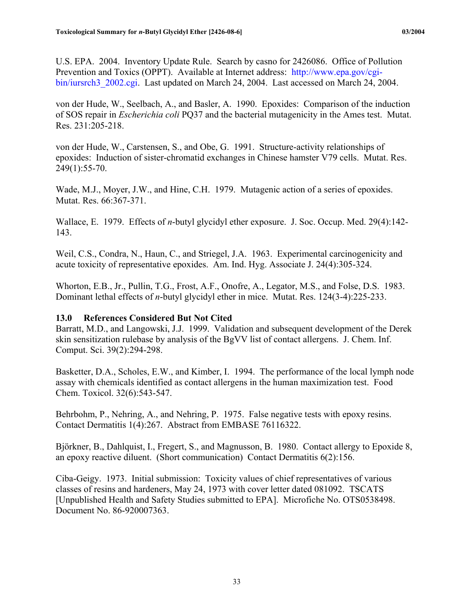<span id="page-42-0"></span>U.S. EPA. 2004. Inventory Update Rule. Search by casno for 2426086. Office of Pollution Prevention and Toxics (OPPT). Available at Internet address: [http://www.epa.gov/cgi](http://www.epa.gov/cgi-bin/iursrch3.cgi)[bin/iursrch3\\_2002.cgi.](http://www.epa.gov/cgi-bin/iursrch3.cgi) Last updated on March 24, 2004. Last accessed on March 24, 2004.

von der Hude, W., Seelbach, A., and Basler, A. 1990. Epoxides: Comparison of the induction of SOS repair in *Escherichia coli* PQ37 and the bacterial mutagenicity in the Ames test. Mutat. Res. 231:205-218.

von der Hude, W., Carstensen, S., and Obe, G. 1991. Structure-activity relationships of epoxides: Induction of sister-chromatid exchanges in Chinese hamster V79 cells. Mutat. Res. 249(1):55-70.

Wade, M.J., Moyer, J.W., and Hine, C.H. 1979. Mutagenic action of a series of epoxides. Mutat. Res. 66:367-371.

Wallace, E. 1979. Effects of *n*-butyl glycidyl ether exposure. J. Soc. Occup. Med. 29(4):142- 143.

Weil, C.S., Condra, N., Haun, C., and Striegel, J.A. 1963. Experimental carcinogenicity and acute toxicity of representative epoxides. Am. Ind. Hyg. Associate J. 24(4):305-324.

Whorton, E.B., Jr., Pullin, T.G., Frost, A.F., Onofre, A., Legator, M.S., and Folse, D.S. 1983. Dominant lethal effects of *n*-butyl glycidyl ether in mice. Mutat. Res. 124(3-4):225-233.

## **13.0 References Considered But Not Cited**

Barratt, M.D., and Langowski, J.J. 1999. Validation and subsequent development of the Derek skin sensitization rulebase by analysis of the BgVV list of contact allergens. J. Chem. Inf. Comput. Sci. 39(2):294-298.

Basketter, D.A., Scholes, E.W., and Kimber, I. 1994. The performance of the local lymph node assay with chemicals identified as contact allergens in the human maximization test. Food Chem. Toxicol. 32(6):543-547.

Behrbohm, P., Nehring, A., and Nehring, P. 1975. False negative tests with epoxy resins. Contact Dermatitis 1(4):267. Abstract from EMBASE 76116322.

Björkner, B., Dahlquist, I., Fregert, S., and Magnusson, B. 1980. Contact allergy to Epoxide 8, an epoxy reactive diluent. (Short communication) Contact Dermatitis 6(2):156.

Ciba-Geigy. 1973. Initial submission: Toxicity values of chief representatives of various classes of resins and hardeners, May 24, 1973 with cover letter dated 081092. TSCATS [Unpublished Health and Safety Studies submitted to EPA]. Microfiche No. OTS0538498. Document No. 86-920007363.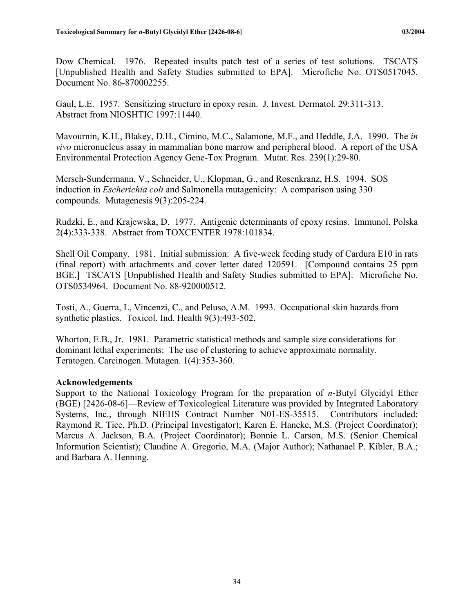<span id="page-43-0"></span>Dow Chemical. 1976. Repeated insults patch test of a series of test solutions. TSCATS [Unpublished Health and Safety Studies submitted to EPA]. Microfiche No. OTS0517045. Document No. 86-870002255.

Gaul, L.E. 1957. Sensitizing structure in epoxy resin. J. Invest. Dermatol. 29:311-313. Abstract from NIOSHTIC 1997:11440.

Mavournin, K.H., Blakey, D.H., Cimino, M.C., Salamone, M.F., and Heddle, J.A. 1990. The *in vivo* micronucleus assay in mammalian bone marrow and peripheral blood. A report of the USA Environmental Protection Agency Gene-Tox Program. Mutat. Res. 239(1):29-80.

Mersch-Sundermann, V., Schneider, U., Klopman, G., and Rosenkranz, H.S. 1994. SOS induction in *Escherichia coli* and Salmonella mutagenicity: A comparison using 330 compounds. Mutagenesis 9(3):205-224.

Rudzki, E., and Krajewska, D. 1977. Antigenic determinants of epoxy resins. Immunol. Polska 2(4):333-338. Abstract from TOXCENTER 1978:101834.

Shell Oil Company. 1981. Initial submission: A five-week feeding study of Cardura E10 in rats (final report) with attachments and cover letter dated 120591. [Compound contains 25 ppm BGE.] TSCATS [Unpublished Health and Safety Studies submitted to EPA]. Microfiche No. OTS0534964. Document No. 88-920000512.

Tosti, A., Guerra, L, Vincenzi, C., and Peluso, A.M. 1993. Occupational skin hazards from synthetic plastics. Toxicol. Ind. Health 9(3):493-502.

Whorton, E.B., Jr. 1981. Parametric statistical methods and sample size considerations for dominant lethal experiments: The use of clustering to achieve approximate normality. Teratogen. Carcinogen. Mutagen. 1(4):353-360.

#### **Acknowledgements**

Support to the National Toxicology Program for the preparation of *n*-Butyl Glycidyl Ether (BGE) [2426-08-6]—Review of Toxicological Literature was provided by Integrated Laboratory Systems, Inc., through NIEHS Contract Number N01-ES-35515. Contributors included: Raymond R. Tice, Ph.D. (Principal Investigator); Karen E. Haneke, M.S. (Project Coordinator); Marcus A. Jackson, B.A. (Project Coordinator); Bonnie L. Carson, M.S. (Senior Chemical Information Scientist); Claudine A. Gregorio, M.A. (Major Author); Nathanael P. Kibler, B.A.; and Barbara A. Henning.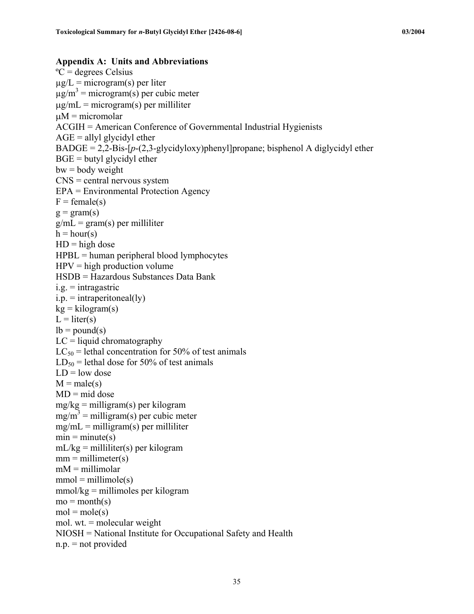```
Appendix A: Units and Abbreviations 
^{\circ}C = degrees Celsius
\mug/L = microgram(s) per liter
\mug/m<sup>3</sup> = microgram(s) per cubic meter
\mug/mL = microgram(s) per milliliter
\muM = micromolar
ACGIH = American Conference of Governmental Industrial Hygienists 
AGE = allyl glycidyl ether
BADE = 2,2-Bis-[p-(2,3-glycidyboxy)phenyl]propane; b isphenol A diglycidyl etherBGE = butyl glycidyl ether
bw = body weightCNS = central nervous system
EPA = Environmental Protection Agency 
F = female(s)g = \text{gram}(s)g/mL = gram(s) per milliliter
h = hour(s)HD = high doseHPBL = human peripheral blood lymphocytesHPV = high production volume
HSDB = Hazardous Substances Data Bank 
i.g. =intragastric
i.p. = intraperitoneal(ly)
kg = kilogram(s)L = liter(s)lb = pound(s)LC = liquid chromatography
LC_{50} = lethal concentration for 50% of test animals
LD_{50} = lethal dose for 50% of test animals
LD = low dose
M = male(s)MD = mid dosemg/kg = milligram(s) per kilogram
mg/m^3 = milligram(s) per cubic meter
mg/mL = milligram(s) per milliliter
min = minute(s)mL/kg = milliliter(s) per kilogram
mm = millimeter(s)mM = millimolar
mmol = millimole(s)mmol/kg = millimoles per kilogram
mo = month(s)mol = mole(s)mol. wt. = molecular weight 
NIOSH = National Institute for Occupational Safety and Health 
n.p. = not provided
```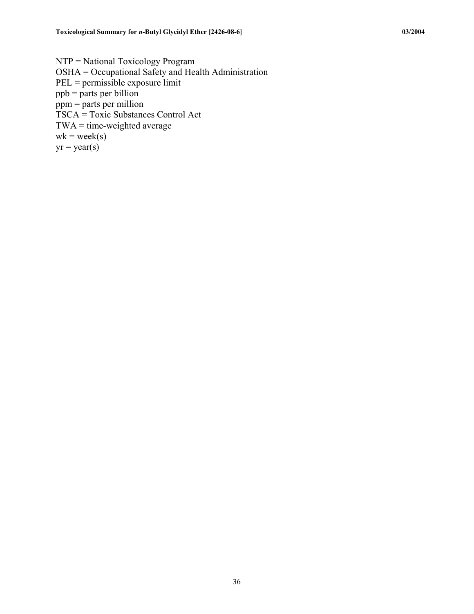NTP = National Toxicology Program OSHA = Occupational Safety and Health Administration PEL = permissible exposure limit ppb = parts per billion  $ppm =$  parts per million TSCA = Toxic Substances Control Act  $TWA = time-weighted average$  $wk = week(s)$  $yr = year(s)$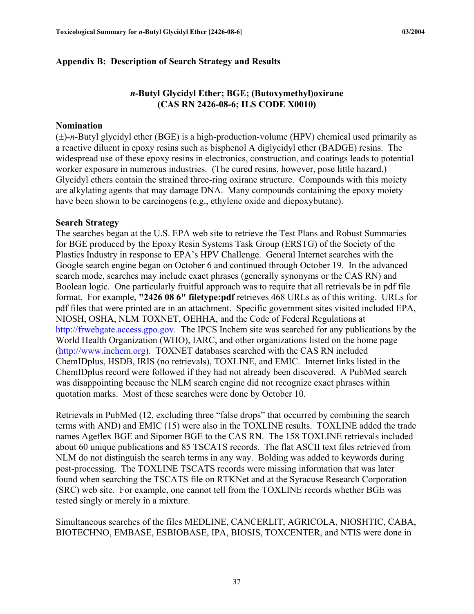## <span id="page-46-0"></span>**Appendix B: Description of Search Strategy and Results**

## *n***-Butyl Glycidyl Ether; BGE; (Butoxymethyl)oxirane (CAS RN 2426-08-6; ILS CODE X0010)**

#### **Nomination**

(±)-*n*-Butyl glycidyl ether (BGE) is a high-production-volume (HPV) chemical used primarily as a reactive diluent in epoxy resins such as bisphenol A diglycidyl ether (BADGE) resins. The widespread use of these epoxy resins in electronics, construction, and coatings leads to potential worker exposure in numerous industries. (The cured resins, however, pose little hazard.) Glycidyl ethers contain the strained three-ring oxirane structure. Compounds with this moiety are alkylating agents that may damage DNA. Many compounds containing the epoxy moiety have been shown to be carcinogens (e.g., ethylene oxide and diepoxybutane).

#### **Search Strategy**

The searches began at the U.S. EPA web site to retrieve the Test Plans and Robust Summaries for BGE produced by the Epoxy Resin Systems Task Group (ERSTG) of the Society of the Plastics Industry in response to EPA's HPV Challenge. General Internet searches with the Google search engine began on October 6 and continued through October 19. In the advanced search mode, searches may include exact phrases (generally synonyms or the CAS RN) and Boolean logic. One particularly fruitful approach was to require that all retrievals be in pdf file format. For example, **"2426 08 6" filetype:pdf** retrieves 468 URLs as of this writing. URLs for pdf files that were printed are in an attachment. Specific government sites visited included EPA, NIOSH, OSHA, NLM TOXNET, OEHHA, and the Code of Federal Regulations at [http://frwebgate.access.gpo.gov.](http://frwebgate.access.gpo.gov/) The IPCS Inchem site was searched for any publications by the World Health Organization (WHO), IARC, and other organizations listed on the home page ([http://www.inchem.org](http://www.inchem.org/)). TOXNET databases searched with the CAS RN included ChemIDplus, HSDB, IRIS (no retrievals), TOXLINE, and EMIC. Internet links listed in the ChemIDplus record were followed if they had not already been discovered. A PubMed search was disappointing because the NLM search engine did not recognize exact phrases within quotation marks. Most of these searches were done by October 10.

Retrievals in PubMed (12, excluding three "false drops" that occurred by combining the search terms with AND) and EMIC (15) were also in the TOXLINE results. TOXLINE added the trade names Ageflex BGE and Sipomer BGE to the CAS RN. The 158 TOXLINE retrievals included about 60 unique publications and 85 TSCATS records. The flat ASCII text files retrieved from NLM do not distinguish the search terms in any way. Bolding was added to keywords during post-processing. The TOXLINE TSCATS records were missing information that was later found when searching the TSCATS file on RTKNet and at the Syracuse Research Corporation (SRC) web site. For example, one cannot tell from the TOXLINE records whether BGE was tested singly or merely in a mixture.

Simultaneous searches of the files MEDLINE, CANCERLIT, AGRICOLA, NIOSHTIC, CABA, BIOTECHNO, EMBASE, ESBIOBASE, IPA, BIOSIS, TOXCENTER, and NTIS were done in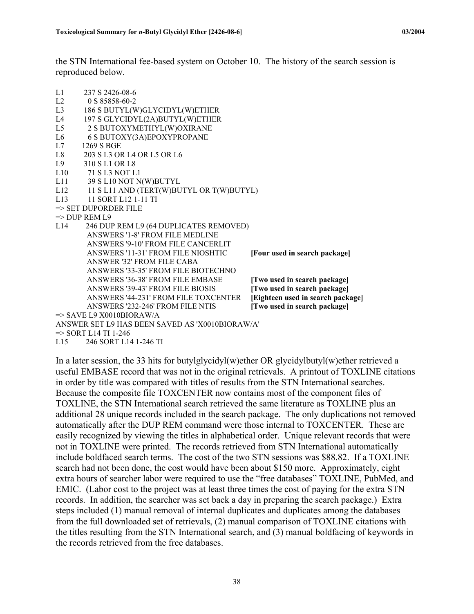the STN International fee-based system on October 10. The history of the search session is reproduced below.

| L1             | 237 S 2426-08-6                                 |                                   |
|----------------|-------------------------------------------------|-----------------------------------|
| L2             | 0 S 85858-60-2                                  |                                   |
| L <sub>3</sub> | 186 S BUTYL(W)GLYCIDYL(W)ETHER                  |                                   |
| L4             | 197 S GLYCIDYL(2A)BUTYL(W)ETHER                 |                                   |
| L5             | 2 S BUTOXYMETHYL(W)OXIRANE                      |                                   |
| L <sub>6</sub> | 6 S BUTOXY(3A)EPOXYPROPANE                      |                                   |
| L7             | 1269 S BGE                                      |                                   |
| L8             | 203 S L3 OR L4 OR L5 OR L6                      |                                   |
| L9             | 310 S L1 OR L8                                  |                                   |
| L10            | 71 S L3 NOT L1                                  |                                   |
| L11            | 39 S L10 NOT N(W)BUTYL                          |                                   |
| L12            | 11 S L11 AND (TERT(W)BUTYL OR T(W)BUTYL)        |                                   |
| L13            | 11 SORT L12 1-11 TI                             |                                   |
|                | => SET DUPORDER FILE                            |                                   |
|                | $\Rightarrow$ DUP REM L9                        |                                   |
| 1.14           | 246 DUP REM L9 (64 DUPLICATES REMOVED)          |                                   |
|                | ANSWERS '1-8' FROM FILE MEDLINE                 |                                   |
|                | ANSWERS '9-10' FROM FILE CANCERLIT              |                                   |
|                | ANSWERS '11-31' FROM FILE NIOSHTIC              | [Four used in search package]     |
|                | ANSWER '32' FROM FILE CABA                      |                                   |
|                | ANSWERS '33-35' FROM FILE BIOTECHNO             |                                   |
|                | ANSWERS '36-38' FROM FILE EMBASE                | [Two used in search package]      |
|                | ANSWERS '39-43' FROM FILE BIOSIS                | [Two used in search package]      |
|                | ANSWERS '44-231' FROM FILE TOXCENTER            | [Eighteen used in search package] |
|                | ANSWERS '232-246' FROM FILE NTIS                | [Two used in search package]      |
|                | $\Rightarrow$ SAVE L9 X0010BIORAW/A             |                                   |
|                | ANSWER SET L9 HAS BEEN SAVED AS 'X0010BIORAW/A' |                                   |
|                | $\Rightarrow$ SORT L14 TI 1-246                 |                                   |

L15 246 SORT L14 1-246 TI

In a later session, the 33 hits for butylglycidyl(w)ether OR glycidylbutyl(w)ether retrieved a useful EMBASE record that was not in the original retrievals. A printout of TOXLINE citations in order by title was compared with titles of results from the STN International searches. Because the composite file TOXCENTER now contains most of the component files of TOXLINE, the STN International search retrieved the same literature as TOXLINE plus an additional 28 unique records included in the search package. The only duplications not removed automatically after the DUP REM command were those internal to TOXCENTER. These are easily recognized by viewing the titles in alphabetical order. Unique relevant records that were not in TOXLINE were printed. The records retrieved from STN International automatically include boldfaced search terms. The cost of the two STN sessions was \$88.82. If a TOXLINE search had not been done, the cost would have been about \$150 more. Approximately, eight extra hours of searcher labor were required to use the "free databases" TOXLINE, PubMed, and EMIC. (Labor cost to the project was at least three times the cost of paying for the extra STN records. In addition, the searcher was set back a day in preparing the search package.) Extra steps included (1) manual removal of internal duplicates and duplicates among the databases from the full downloaded set of retrievals, (2) manual comparison of TOXLINE citations with the titles resulting from the STN International search, and (3) manual boldfacing of keywords in the records retrieved from the free databases.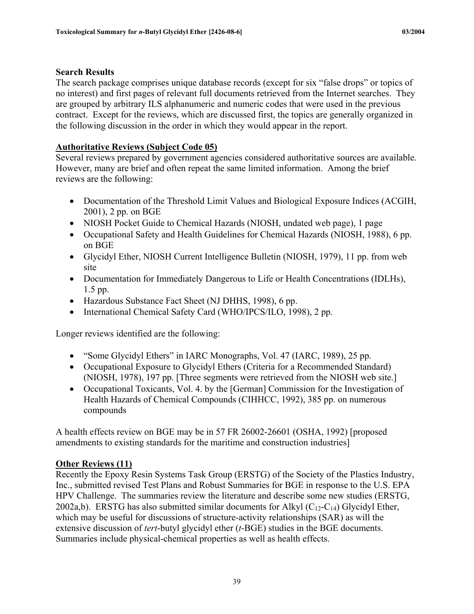#### **Search Results**

The search package comprises unique database records (except for six "false drops" or topics of no interest) and first pages of relevant full documents retrieved from the Internet searches. They are grouped by arbitrary ILS alphanumeric and numeric codes that were used in the previous contract. Except for the reviews, which are discussed first, the topics are generally organized in the following discussion in the order in which they would appear in the report.

## **Authoritative Reviews (Subject Code 05)**

Several reviews prepared by government agencies considered authoritative sources are available. However, many are brief and often repeat the same limited information. Among the brief reviews are the following:

- Documentation of the Threshold Limit Values and Biological Exposure Indices (ACGIH, 2001), 2 pp. on BGE
- NIOSH Pocket Guide to Chemical Hazards (NIOSH, undated web page), 1 page
- Occupational Safety and Health Guidelines for Chemical Hazards (NIOSH, 1988), 6 pp. on BGE
- Glycidyl Ether, NIOSH Current Intelligence Bulletin (NIOSH, 1979), 11 pp. from web site
- Documentation for Immediately Dangerous to Life or Health Concentrations (IDLHs), 1.5 pp.
- Hazardous Substance Fact Sheet (NJ DHHS, 1998), 6 pp.
- International Chemical Safety Card (WHO/IPCS/ILO, 1998), 2 pp.

Longer reviews identified are the following:

- "Some Glycidyl Ethers" in IARC Monographs, Vol. 47 (IARC, 1989), 25 pp.
- Occupational Exposure to Glycidyl Ethers (Criteria for a Recommended Standard) (NIOSH, 1978), 197 pp. [Three segments were retrieved from the NIOSH web site.]
- Occupational Toxicants, Vol. 4. by the [German] Commission for the Investigation of Health Hazards of Chemical Compounds (CIHHCC, 1992), 385 pp. on numerous compounds

A health effects review on BGE may be in 57 FR 26002-26601 (OSHA, 1992) [proposed amendments to existing standards for the maritime and construction industries]

## **Other Reviews (11)**

Recently the Epoxy Resin Systems Task Group (ERSTG) of the Society of the Plastics Industry, Inc., submitted revised Test Plans and Robust Summaries for BGE in response to the U.S. EPA HPV Challenge. The summaries review the literature and describe some new studies (ERSTG, 2002a,b). ERSTG has also submitted similar documents for Alkyl  $(C_{12}-C_{14})$  Glycidyl Ether, which may be useful for discussions of structure-activity relationships (SAR) as will the extensive discussion of *tert*-butyl glycidyl ether (*t*-BGE) studies in the BGE documents. Summaries include physical-chemical properties as well as health effects.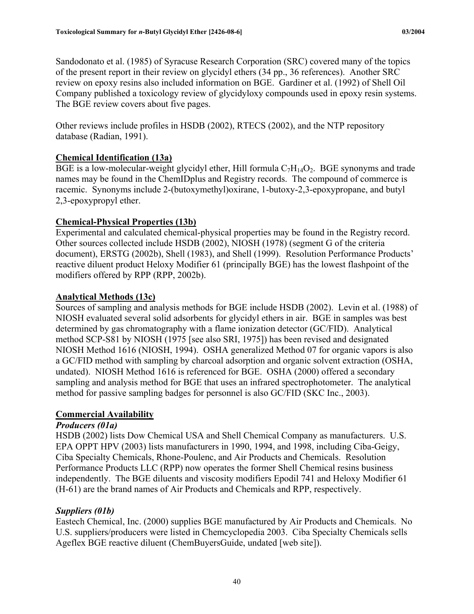Sandodonato et al. (1985) of Syracuse Research Corporation (SRC) covered many of the topics of the present report in their review on glycidyl ethers (34 pp., 36 references). Another SRC review on epoxy resins also included information on BGE. Gardiner et al. (1992) of Shell Oil Company published a toxicology review of glycidyloxy compounds used in epoxy resin systems. The BGE review covers about five pages.

Other reviews include profiles in HSDB (2002), RTECS (2002), and the NTP repository database (Radian, 1991).

## **Chemical Identification (13a)**

BGE is a low-molecular-weight glycidyl ether, Hill formula  $C_7H_{14}O_2$ . BGE synonyms and trade names may be found in the ChemIDplus and Registry records. The compound of commerce is racemic. Synonyms include 2-(butoxymethyl)oxirane, 1-butoxy-2,3-epoxypropane, and butyl 2,3-epoxypropyl ether.

## **Chemical-Physical Properties (13b)**

Experimental and calculated chemical-physical properties may be found in the Registry record. Other sources collected include HSDB (2002), NIOSH (1978) (segment G of the criteria document), ERSTG (2002b), Shell (1983), and Shell (1999). Resolution Performance Products' reactive diluent product Heloxy Modifier 61 (principally BGE) has the lowest flashpoint of the modifiers offered by RPP (RPP, 2002b).

## **Analytical Methods (13c)**

Sources of sampling and analysis methods for BGE include HSDB (2002). Levin et al. (1988) of NIOSH evaluated several solid adsorbents for glycidyl ethers in air. BGE in samples was best determined by gas chromatography with a flame ionization detector (GC/FID). Analytical method SCP-S81 by NIOSH (1975 [see also SRI, 1975]) has been revised and designated NIOSH Method 1616 (NIOSH, 1994). OSHA generalized Method 07 for organic vapors is also a GC/FID method with sampling by charcoal adsorption and organic solvent extraction (OSHA, undated). NIOSH Method 1616 is referenced for BGE. OSHA (2000) offered a secondary sampling and analysis method for BGE that uses an infrared spectrophotometer. The analytical method for passive sampling badges for personnel is also GC/FID (SKC Inc., 2003).

## **Commercial Availability**

## *Producers (01a)*

HSDB (2002) lists Dow Chemical USA and Shell Chemical Company as manufacturers. U.S. EPA OPPT HPV (2003) lists manufacturers in 1990, 1994, and 1998, including Ciba-Geigy, Ciba Specialty Chemicals, Rhone-Poulenc, and Air Products and Chemicals. Resolution Performance Products LLC (RPP) now operates the former Shell Chemical resins business independently. The BGE diluents and viscosity modifiers Epodil 741 and Heloxy Modifier 61 (H-61) are the brand names of Air Products and Chemicals and RPP, respectively.

## *Suppliers (01b)*

Eastech Chemical, Inc. (2000) supplies BGE manufactured by Air Products and Chemicals. No U.S. suppliers/producers were listed in Chemcyclopedia 2003. Ciba Specialty Chemicals sells Ageflex BGE reactive diluent (ChemBuyersGuide, undated [web site]).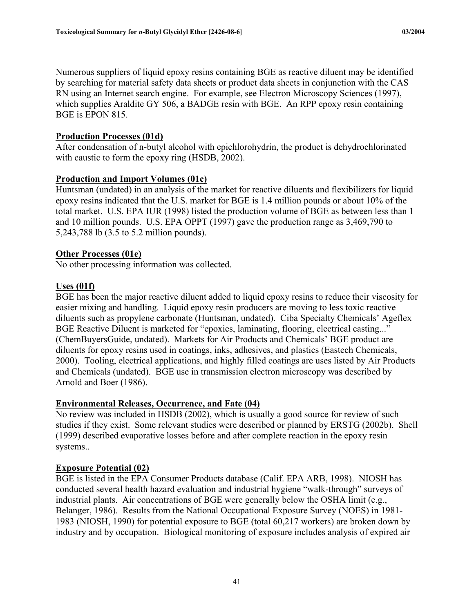Numerous suppliers of liquid epoxy resins containing BGE as reactive diluent may be identified by searching for material safety data sheets or product data sheets in conjunction with the CAS RN using an Internet search engine. For example, see Electron Microscopy Sciences (1997), which supplies Araldite GY 506, a BADGE resin with BGE. An RPP epoxy resin containing BGE is EPON 815.

## **Production Processes (01d)**

After condensation of n-butyl alcohol with epichlorohydrin, the product is dehydrochlorinated with caustic to form the epoxy ring (HSDB, 2002).

## **Production and Import Volumes (01c)**

Huntsman (undated) in an analysis of the market for reactive diluents and flexibilizers for liquid epoxy resins indicated that the U.S. market for BGE is 1.4 million pounds or about 10% of the total market. U.S. EPA IUR (1998) listed the production volume of BGE as between less than 1 and 10 million pounds. U.S. EPA OPPT (1997) gave the production range as 3,469,790 to 5,243,788 lb (3.5 to 5.2 million pounds).

## **Other Processes (01e)**

No other processing information was collected.

## **Uses (01f)**

BGE has been the major reactive diluent added to liquid epoxy resins to reduce their viscosity for easier mixing and handling. Liquid epoxy resin producers are moving to less toxic reactive diluents such as propylene carbonate (Huntsman, undated). Ciba Specialty Chemicals' Ageflex BGE Reactive Diluent is marketed for "epoxies, laminating, flooring, electrical casting..." (ChemBuyersGuide, undated). Markets for Air Products and Chemicals' BGE product are diluents for epoxy resins used in coatings, inks, adhesives, and plastics (Eastech Chemicals, 2000). Tooling, electrical applications, and highly filled coatings are uses listed by Air Products and Chemicals (undated). BGE use in transmission electron microscopy was described by Arnold and Boer (1986).

## **Environmental Releases, Occurrence, and Fate (04)**

No review was included in HSDB (2002), which is usually a good source for review of such studies if they exist. Some relevant studies were described or planned by ERSTG (2002b). Shell (1999) described evaporative losses before and after complete reaction in the epoxy resin systems..

## **Exposure Potential (02)**

BGE is listed in the EPA Consumer Products database (Calif. EPA ARB, 1998). NIOSH has conducted several health hazard evaluation and industrial hygiene "walk-through" surveys of industrial plants. Air concentrations of BGE were generally below the OSHA limit (e.g., Belanger, 1986). Results from the National Occupational Exposure Survey (NOES) in 1981- 1983 (NIOSH, 1990) for potential exposure to BGE (total 60,217 workers) are broken down by industry and by occupation. Biological monitoring of exposure includes analysis of expired air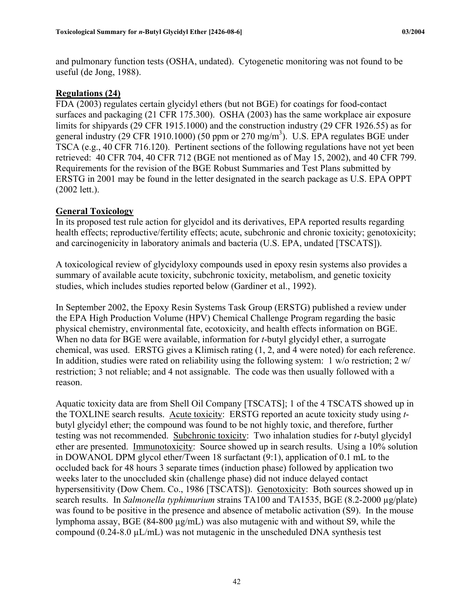and pulmonary function tests (OSHA, undated). Cytogenetic monitoring was not found to be useful (de Jong, 1988).

## **Regulations (24)**

FDA (2003) regulates certain glycidyl ethers (but not BGE) for coatings for food-contact surfaces and packaging (21 CFR 175.300). OSHA (2003) has the same workplace air exposure limits for shipyards (29 CFR 1915.1000) and the construction industry (29 CFR 1926.55) as for general industry (29 CFR 1910.1000) (50 ppm or 270 mg/m<sup>3</sup>). U.S. EPA regulates BGE under TSCA (e.g., 40 CFR 716.120). Pertinent sections of the following regulations have not yet been retrieved: 40 CFR 704, 40 CFR 712 (BGE not mentioned as of May 15, 2002), and 40 CFR 799. Requirements for the revision of the BGE Robust Summaries and Test Plans submitted by ERSTG in 2001 may be found in the letter designated in the search package as U.S. EPA OPPT (2002 lett.).

## **General Toxicology**

In its proposed test rule action for glycidol and its derivatives, EPA reported results regarding health effects; reproductive/fertility effects; acute, subchronic and chronic toxicity; genotoxicity; and carcinogenicity in laboratory animals and bacteria (U.S. EPA, undated [TSCATS]).

A toxicological review of glycidyloxy compounds used in epoxy resin systems also provides a summary of available acute toxicity, subchronic toxicity, metabolism, and genetic toxicity studies, which includes studies reported below (Gardiner et al., 1992).

In September 2002, the Epoxy Resin Systems Task Group (ERSTG) published a review under the EPA High Production Volume (HPV) Chemical Challenge Program regarding the basic physical chemistry, environmental fate, ecotoxicity, and health effects information on BGE. When no data for BGE were available, information for *t*-butyl glycidyl ether, a surrogate chemical, was used. ERSTG gives a Klimisch rating (1, 2, and 4 were noted) for each reference. In addition, studies were rated on reliability using the following system: 1 w/o restriction; 2 w/ restriction; 3 not reliable; and 4 not assignable. The code was then usually followed with a reason.

Aquatic toxicity data are from Shell Oil Company [TSCATS]; 1 of the 4 TSCATS showed up in the TOXLINE search results. Acute toxicity: ERSTG reported an acute toxicity study using *t*butyl glycidyl ether; the compound was found to be not highly toxic, and therefore, further testing was not recommended. Subchronic toxicity: Two inhalation studies for *t*-butyl glycidyl ether are presented. Immunotoxicity: Source showed up in search results. Using a 10% solution in DOWANOL DPM glycol ether/Tween 18 surfactant (9:1), application of 0.1 mL to the occluded back for 48 hours 3 separate times (induction phase) followed by application two weeks later to the unoccluded skin (challenge phase) did not induce delayed contact hypersensitivity (Dow Chem. Co., 1986 [TSCATS]). Genotoxicity: Both sources showed up in search results. In *Salmonella typhimurium* strains TA100 and TA1535, BGE (8.2-2000 µg/plate) was found to be positive in the presence and absence of metabolic activation (S9). In the mouse lymphoma assay, BGE (84-800 µg/mL) was also mutagenic with and without S9, while the compound (0.24-8.0 µL/mL) was not mutagenic in the unscheduled DNA synthesis test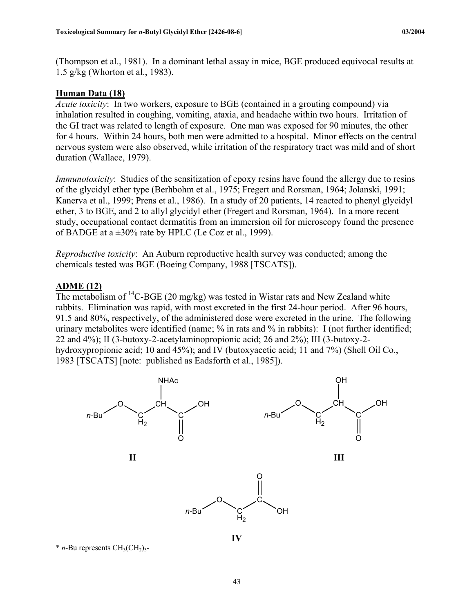(Thompson et al., 1981). In a dominant lethal assay in mice, BGE produced equivocal results at 1.5 g/kg (Whorton et al., 1983).

#### **Human Data (18)**

*Acute toxicity*: In two workers, exposure to BGE (contained in a grouting compound) via inhalation resulted in coughing, vomiting, ataxia, and headache within two hours. Irritation of the GI tract was related to length of exposure. One man was exposed for 90 minutes, the other for 4 hours. Within 24 hours, both men were admitted to a hospital. Minor effects on the central nervous system were also observed, while irritation of the respiratory tract was mild and of short duration (Wallace, 1979).

*Immunotoxicity*: Studies of the sensitization of epoxy resins have found the allergy due to resins of the glycidyl ether type (Berhbohm et al., 1975; Fregert and Rorsman, 1964; Jolanski, 1991; Kanerva et al., 1999; Prens et al., 1986). In a study of 20 patients, 14 reacted to phenyl glycidyl ether, 3 to BGE, and 2 to allyl glycidyl ether (Fregert and Rorsman, 1964). In a more recent study, occupational contact dermatitis from an immersion oil for microscopy found the presence of BADGE at a  $\pm 30\%$  rate by HPLC (Le Coz et al., 1999).

*Reproductive toxicity*: An Auburn reproductive health survey was conducted; among the chemicals tested was BGE (Boeing Company, 1988 [TSCATS]).

## **ADME (12)**

The metabolism of  ${}^{14}C$ -BGE (20 mg/kg) was tested in Wistar rats and New Zealand white rabbits. Elimination was rapid, with most excreted in the first 24-hour period. After 96 hours, 91.5 and 80%, respectively, of the administered dose were excreted in the urine. The following urinary metabolites were identified (name; % in rats and % in rabbits): I (not further identified; 22 and 4%); II (3-butoxy-2-acetylaminopropionic acid; 26 and 2%); III (3-butoxy-2 hydroxypropionic acid; 10 and 45%); and IV (butoxyacetic acid; 11 and 7%) (Shell Oil Co., 1983 [TSCATS] [note: published as Eadsforth et al., 1985]).



 $*$  *n*-Bu represents  $CH<sub>3</sub>(CH<sub>2</sub>)<sub>3</sub>$ -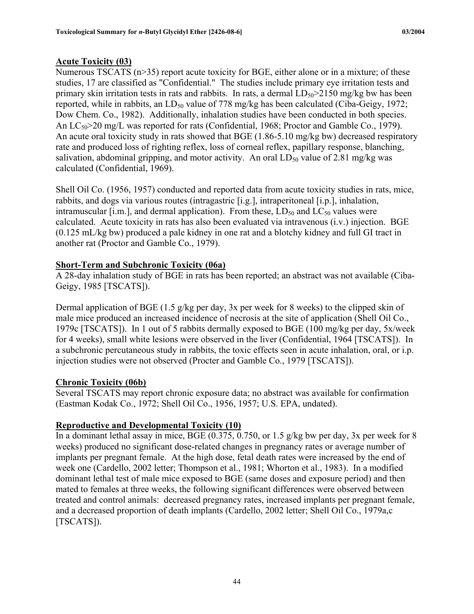## **Acute Toxicity (03)**

Numerous TSCATS (n>35) report acute toxicity for BGE, either alone or in a mixture; of these studies, 17 are classified as "Confidential." The studies include primary eye irritation tests and primary skin irritation tests in rats and rabbits. In rats, a dermal  $LD_{50} > 2150$  mg/kg bw has been reported, while in rabbits, an  $LD_{50}$  value of 778 mg/kg has been calculated (Ciba-Geigy, 1972; Dow Chem. Co., 1982). Additionally, inhalation studies have been conducted in both species. An  $LC_{50}$  and  $C_{10}$  was reported for rats (Confidential, 1968; Proctor and Gamble Co., 1979). An acute oral toxicity study in rats showed that BGE (1.86-5.10 mg/kg bw) decreased respiratory rate and produced loss of righting reflex, loss of corneal reflex, papillary response, blanching, salivation, abdominal gripping, and motor activity. An oral  $LD_{50}$  value of 2.81 mg/kg was calculated (Confidential, 1969).

Shell Oil Co. (1956, 1957) conducted and reported data from acute toxicity studies in rats, mice, rabbits, and dogs via various routes (intragastric [i.g.], intraperitoneal [i.p.], inhalation, intramuscular [i.m.], and dermal application). From these,  $LD_{50}$  and  $LC_{50}$  values were calculated. Acute toxicity in rats has also been evaluated via intravenous (i.v.) injection. BGE (0.125 mL/kg bw) produced a pale kidney in one rat and a blotchy kidney and full GI tract in another rat (Proctor and Gamble Co., 1979).

## **Short-Term and Subchronic Toxicity (06a)**

A 28-day inhalation study of BGE in rats has been reported; an abstract was not available (Ciba-Geigy, 1985 [TSCATS]).

Dermal application of BGE (1.5 g/kg per day, 3x per week for 8 weeks) to the clipped skin of male mice produced an increased incidence of necrosis at the site of application (Shell Oil Co., 1979c [TSCATS]). In 1 out of 5 rabbits dermally exposed to BGE (100 mg/kg per day, 5x/week for 4 weeks), small white lesions were observed in the liver (Confidential, 1964 [TSCATS]). In a subchronic percutaneous study in rabbits, the toxic effects seen in acute inhalation, oral, or i.p. injection studies were not observed (Procter and Gamble Co., 1979 [TSCATS]).

## **Chronic Toxicity (06b)**

Several TSCATS may report chronic exposure data; no abstract was available for confirmation (Eastman Kodak Co., 1972; Shell Oil Co., 1956, 1957; U.S. EPA, undated).

## **Reproductive and Developmental Toxicity (10)**

In a dominant lethal assay in mice, BGE (0.375, 0.750, or 1.5 g/kg bw per day, 3x per week for 8 weeks) produced no significant dose-related changes in pregnancy rates or average number of implants per pregnant female. At the high dose, fetal death rates were increased by the end of week one (Cardello, 2002 letter; Thompson et al., 1981; Whorton et al., 1983). In a modified dominant lethal test of male mice exposed to BGE (same doses and exposure period) and then mated to females at three weeks, the following significant differences were observed between treated and control animals: decreased pregnancy rates, increased implants per pregnant female, and a decreased proportion of death implants (Cardello, 2002 letter; Shell Oil Co., 1979a,c [TSCATS]).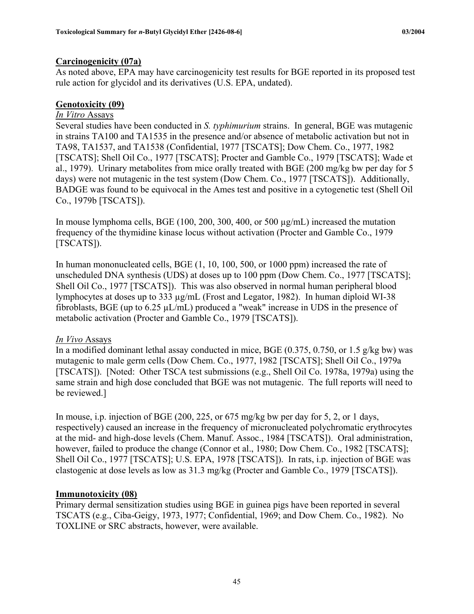## **Carcinogenicity (07a)**

As noted above, EPA may have carcinogenicity test results for BGE reported in its proposed test rule action for glycidol and its derivatives (U.S. EPA, undated).

## **Genotoxicity (09)**

## *In Vitro* Assays

Several studies have been conducted in *S. typhimurium* strains. In general, BGE was mutagenic in strains TA100 and TA1535 in the presence and/or absence of metabolic activation but not in TA98, TA1537, and TA1538 (Confidential, 1977 [TSCATS]; Dow Chem. Co., 1977, 1982 [TSCATS]; Shell Oil Co., 1977 [TSCATS]; Procter and Gamble Co., 1979 [TSCATS]; Wade et al., 1979). Urinary metabolites from mice orally treated with BGE (200 mg/kg bw per day for 5 days) were not mutagenic in the test system (Dow Chem. Co., 1977 [TSCATS]). Additionally, BADGE was found to be equivocal in the Ames test and positive in a cytogenetic test (Shell Oil Co., 1979b [TSCATS]).

In mouse lymphoma cells, BGE (100, 200, 300, 400, or 500 µg/mL) increased the mutation frequency of the thymidine kinase locus without activation (Procter and Gamble Co., 1979 [TSCATS]).

In human mononucleated cells, BGE (1, 10, 100, 500, or 1000 ppm) increased the rate of unscheduled DNA synthesis (UDS) at doses up to 100 ppm (Dow Chem. Co., 1977 [TSCATS]; Shell Oil Co., 1977 [TSCATS]). This was also observed in normal human peripheral blood lymphocytes at doses up to 333 µg/mL (Frost and Legator, 1982). In human diploid WI-38 fibroblasts, BGE (up to 6.25 µL/mL) produced a "weak" increase in UDS in the presence of metabolic activation (Procter and Gamble Co., 1979 [TSCATS]).

## *In Vivo* Assays

In a modified dominant lethal assay conducted in mice, BGE  $(0.375, 0.750, \text{or } 1.5 \text{ g/kg}$  bw) was mutagenic to male germ cells (Dow Chem. Co., 1977, 1982 [TSCATS]; Shell Oil Co., 1979a [TSCATS]). [Noted: Other TSCA test submissions (e.g., Shell Oil Co. 1978a, 1979a) using the same strain and high dose concluded that BGE was not mutagenic. The full reports will need to be reviewed.]

In mouse, i.p. injection of BGE (200, 225, or 675 mg/kg bw per day for 5, 2, or 1 days, respectively) caused an increase in the frequency of micronucleated polychromatic erythrocytes at the mid- and high-dose levels (Chem. Manuf. Assoc., 1984 [TSCATS]). Oral administration, however, failed to produce the change (Connor et al., 1980; Dow Chem. Co., 1982 [TSCATS]; Shell Oil Co., 1977 [TSCATS]; U.S. EPA, 1978 [TSCATS]). In rats, i.p. injection of BGE was clastogenic at dose levels as low as 31.3 mg/kg (Procter and Gamble Co., 1979 [TSCATS]).

## **Immunotoxicity (08)**

Primary dermal sensitization studies using BGE in guinea pigs have been reported in several TSCATS (e.g., Ciba-Geigy, 1973, 1977; Confidential, 1969; and Dow Chem. Co., 1982). No TOXLINE or SRC abstracts, however, were available.